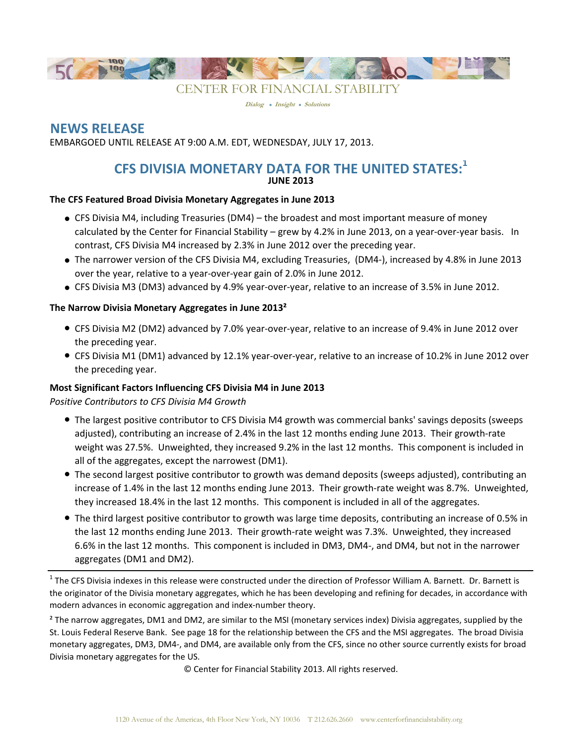

**Dialog Insight Solutions**

# **NEWS RELEASE**

EMBARGOED UNTIL RELEASE AT 9:00 A.M. EDT, WEDNESDAY, JULY 17, 2013.

# **CFS DIVISIA MONETARY DATA FOR THE UNITED STATES:<sup>1</sup> JUNE 2013**

### **The CFS Featured Broad Divisia Monetary Aggregates in June 2013**

- CFS Divisia M4, including Treasuries (DM4) the broadest and most important measure of money calculated by the Center for Financial Stability – grew by 4.2% in June 2013, on a year-over-year basis. In contrast, CFS Divisia M4 increased by 2.3% in June 2012 over the preceding year.
- The narrower version of the CFS Divisia M4, excluding Treasuries, (DM4-), increased by 4.8% in June 2013 over the year, relative to a year-over-year gain of 2.0% in June 2012.
- CFS Divisia M3 (DM3) advanced by 4.9% year-over-year, relative to an increase of 3.5% in June 2012.

# **The Narrow Divisia Monetary Aggregates in June 2013²**

- CFS Divisia M2 (DM2) advanced by 7.0% year-over-year, relative to an increase of 9.4% in June 2012 over the preceding year.
- CFS Divisia M1 (DM1) advanced by 12.1% year-over-year, relative to an increase of 10.2% in June 2012 over the preceding year.

# **Most Significant Factors Influencing CFS Divisia M4 in June 2013**

*Positive Contributors to CFS Divisia M4 Growth*

- The largest positive contributor to CFS Divisia M4 growth was commercial banks' savings deposits (sweeps adjusted), contributing an increase of 2.4% in the last 12 months ending June 2013. Their growth-rate weight was 27.5%. Unweighted, they increased 9.2% in the last 12 months. This component is included in all of the aggregates, except the narrowest (DM1).
- The second largest positive contributor to growth was demand deposits (sweeps adjusted), contributing an increase of 1.4% in the last 12 months ending June 2013. Their growth-rate weight was 8.7%. Unweighted, they increased 18.4% in the last 12 months. This component is included in all of the aggregates.
- The third largest positive contributor to growth was large time deposits, contributing an increase of 0.5% in the last 12 months ending June 2013. Their growth-rate weight was 7.3%. Unweighted, they increased 6.6% in the last 12 months. This component is included in DM3, DM4-, and DM4, but not in the narrower aggregates (DM1 and DM2).

 $^1$  The CFS Divisia indexes in this release were constructed under the direction of Professor William A. Barnett. Dr. Barnett is the originator of the Divisia monetary aggregates, which he has been developing and refining for decades, in accordance with modern advances in economic aggregation and index-number theory.

² The narrow aggregates, DM1 and DM2, are similar to the MSI (monetary services index) Divisia aggregates, supplied by the St. Louis Federal Reserve Bank. See page 18 for the relationship between the CFS and the MSI aggregates. The broad Divisia monetary aggregates, DM3, DM4-, and DM4, are available only from the CFS, since no other source currently exists for broad Divisia monetary aggregates for the US.

© Center for Financial Stability 2013. All rights reserved.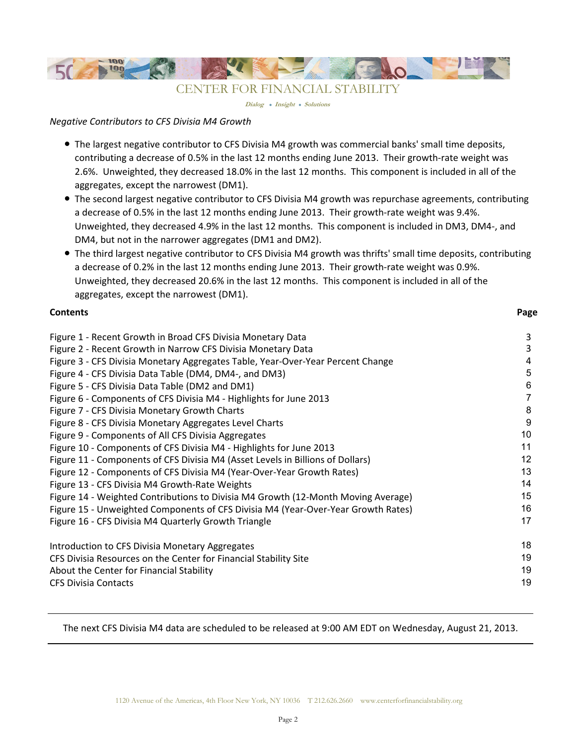

**Dialog Insight Solutions**

### *Negative Contributors to CFS Divisia M4 Growth*

- The largest negative contributor to CFS Divisia M4 growth was commercial banks' small time deposits, contributing a decrease of 0.5% in the last 12 months ending June 2013. Their growth-rate weight was 2.6%. Unweighted, they decreased 18.0% in the last 12 months. This component is included in all of the aggregates, except the narrowest (DM1).
- The second largest negative contributor to CFS Divisia M4 growth was repurchase agreements, contributing a decrease of 0.5% in the last 12 months ending June 2013. Their growth-rate weight was 9.4%. Unweighted, they decreased 4.9% in the last 12 months. This component is included in DM3, DM4-, and DM4, but not in the narrower aggregates (DM1 and DM2).
- The third largest negative contributor to CFS Divisia M4 growth was thrifts' small time deposits, contributing a decrease of 0.2% in the last 12 months ending June 2013. Their growth-rate weight was 0.9%. Unweighted, they decreased 20.6% in the last 12 months. This component is included in all of the aggregates, except the narrowest (DM1).

| <b>Contents</b>                                                                   | Page |
|-----------------------------------------------------------------------------------|------|
| Figure 1 - Recent Growth in Broad CFS Divisia Monetary Data                       | 3    |
| Figure 2 - Recent Growth in Narrow CFS Divisia Monetary Data                      | 3    |
| Figure 3 - CFS Divisia Monetary Aggregates Table, Year-Over-Year Percent Change   | 4    |
| Figure 4 - CFS Divisia Data Table (DM4, DM4-, and DM3)                            | 5    |
| Figure 5 - CFS Divisia Data Table (DM2 and DM1)                                   | 6    |
| Figure 6 - Components of CFS Divisia M4 - Highlights for June 2013                |      |
| Figure 7 - CFS Divisia Monetary Growth Charts                                     | 8    |
| Figure 8 - CFS Divisia Monetary Aggregates Level Charts                           | 9    |
| Figure 9 - Components of All CFS Divisia Aggregates                               | 10   |
| Figure 10 - Components of CFS Divisia M4 - Highlights for June 2013               | 11   |
| Figure 11 - Components of CFS Divisia M4 (Asset Levels in Billions of Dollars)    | 12   |
| Figure 12 - Components of CFS Divisia M4 (Year-Over-Year Growth Rates)            | 13   |
| Figure 13 - CFS Divisia M4 Growth-Rate Weights                                    | 14   |
| Figure 14 - Weighted Contributions to Divisia M4 Growth (12-Month Moving Average) | 15   |
| Figure 15 - Unweighted Components of CFS Divisia M4 (Year-Over-Year Growth Rates) | 16   |
| Figure 16 - CFS Divisia M4 Quarterly Growth Triangle                              | 17   |
| Introduction to CFS Divisia Monetary Aggregates                                   | 18   |
| CFS Divisia Resources on the Center for Financial Stability Site                  | 19   |
| About the Center for Financial Stability                                          | 19   |
| <b>CFS Divisia Contacts</b>                                                       | 19   |

The next CFS Divisia M4 data are scheduled to be released at 9:00 AM EDT on Wednesday, August 21, 2013.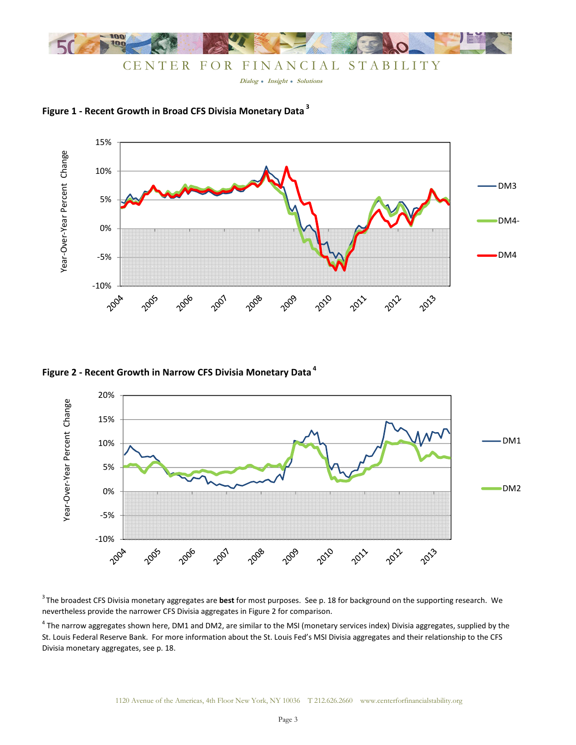

**Figure 1 - Recent Growth in Broad CFS Divisia Monetary Data<sup>3</sup>**



# **Figure 2 - Recent Growth in Narrow CFS Divisia Monetary Data<sup>4</sup>**



<sup>3</sup>The broadest CFS Divisia monetary aggregates are **best** for most purposes. See p. 18 for background on the supporting research. We nevertheless provide the narrower CFS Divisia aggregates in Figure 2 for comparison.

<sup>4</sup> The narrow aggregates shown here, DM1 and DM2, are similar to the MSI (monetary services index) Divisia aggregates, supplied by the St. Louis Federal Reserve Bank. For more information about the St. Louis Fed's MSI Divisia aggregates and their relationship to the CFS Divisia monetary aggregates, see p. 18.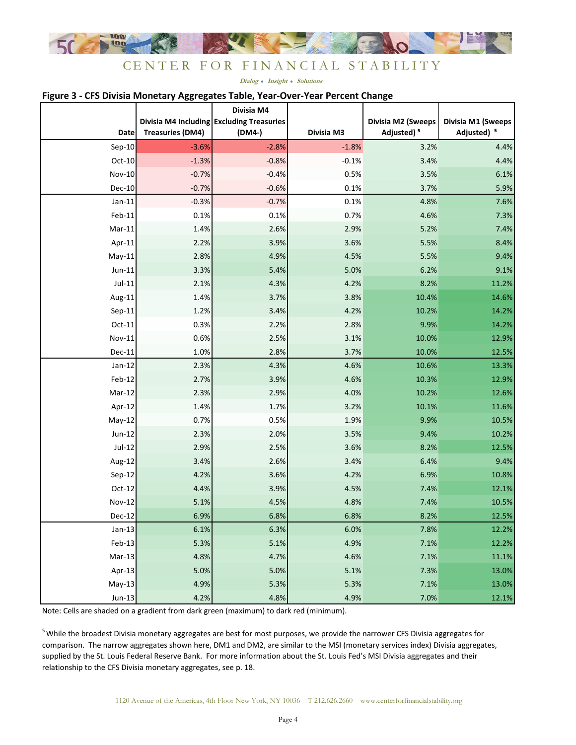

#### **Figure 3 - CFS Divisia Monetary Aggregates Table, Year-Over-Year Percent Change**

|               |                         | Divisia M4<br>Divisia M4 Including Excluding Treasuries |            | Divisia M2 (Sweeps     | Divisia M1 (Sweeps     |
|---------------|-------------------------|---------------------------------------------------------|------------|------------------------|------------------------|
| <b>Date</b>   | <b>Treasuries (DM4)</b> | (DM4-)                                                  | Divisia M3 | Adjusted) <sup>5</sup> | Adjusted) <sup>5</sup> |
| $Sep-10$      | $-3.6%$                 | $-2.8%$                                                 | $-1.8%$    | 3.2%                   | 4.4%                   |
| $Oct-10$      | $-1.3%$                 | $-0.8%$                                                 | $-0.1%$    | 3.4%                   | 4.4%                   |
| Nov-10        | $-0.7%$                 | $-0.4%$                                                 | 0.5%       | 3.5%                   | 6.1%                   |
| Dec-10        | $-0.7%$                 | $-0.6%$                                                 | 0.1%       | 3.7%                   | 5.9%                   |
| $Jan-11$      | $-0.3%$                 | $-0.7%$                                                 | 0.1%       | 4.8%                   | 7.6%                   |
| Feb-11        | 0.1%                    | 0.1%                                                    | 0.7%       | 4.6%                   | 7.3%                   |
| $Mar-11$      | 1.4%                    | 2.6%                                                    | 2.9%       | 5.2%                   | 7.4%                   |
| Apr-11        | 2.2%                    | 3.9%                                                    | 3.6%       | 5.5%                   | 8.4%                   |
| $May-11$      | 2.8%                    | 4.9%                                                    | 4.5%       | 5.5%                   | 9.4%                   |
| $Jun-11$      | 3.3%                    | 5.4%                                                    | 5.0%       | 6.2%                   | 9.1%                   |
| $Jul-11$      | 2.1%                    | 4.3%                                                    | 4.2%       | 8.2%                   | 11.2%                  |
| Aug-11        | 1.4%                    | 3.7%                                                    | 3.8%       | 10.4%                  | 14.6%                  |
| $Sep-11$      | 1.2%                    | 3.4%                                                    | 4.2%       | 10.2%                  | 14.2%                  |
| Oct-11        | 0.3%                    | 2.2%                                                    | 2.8%       | 9.9%                   | 14.2%                  |
| Nov-11        | 0.6%                    | 2.5%                                                    | 3.1%       | 10.0%                  | 12.9%                  |
| Dec-11        | 1.0%                    | 2.8%                                                    | 3.7%       | 10.0%                  | 12.5%                  |
| $Jan-12$      | 2.3%                    | 4.3%                                                    | 4.6%       | 10.6%                  | 13.3%                  |
| Feb-12        | 2.7%                    | 3.9%                                                    | 4.6%       | 10.3%                  | 12.9%                  |
| Mar-12        | 2.3%                    | 2.9%                                                    | 4.0%       | 10.2%                  | 12.6%                  |
| Apr-12        | 1.4%                    | 1.7%                                                    | 3.2%       | 10.1%                  | 11.6%                  |
| May-12        | 0.7%                    | 0.5%                                                    | 1.9%       | 9.9%                   | 10.5%                  |
| $Jun-12$      | 2.3%                    | 2.0%                                                    | 3.5%       | 9.4%                   | 10.2%                  |
| $Jul-12$      | 2.9%                    | 2.5%                                                    | 3.6%       | 8.2%                   | 12.5%                  |
| Aug-12        | 3.4%                    | 2.6%                                                    | 3.4%       | 6.4%                   | 9.4%                   |
| Sep-12        | 4.2%                    | 3.6%                                                    | 4.2%       | 6.9%                   | 10.8%                  |
| $Oct-12$      | 4.4%                    | 3.9%                                                    | 4.5%       | 7.4%                   | 12.1%                  |
| <b>Nov-12</b> | 5.1%                    | 4.5%                                                    | 4.8%       | 7.4%                   | 10.5%                  |
| Dec-12        | 6.9%                    | 6.8%                                                    | 6.8%       | 8.2%                   | 12.5%                  |
| $Jan-13$      | 6.1%                    | 6.3%                                                    | 6.0%       | 7.8%                   | 12.2%                  |
| $Feb-13$      | 5.3%                    | 5.1%                                                    | 4.9%       | 7.1%                   | 12.2%                  |
| $Mar-13$      | 4.8%                    | 4.7%                                                    | 4.6%       | 7.1%                   | 11.1%                  |
| Apr-13        | 5.0%                    | 5.0%                                                    | 5.1%       | 7.3%                   | 13.0%                  |
| $May-13$      | 4.9%                    | 5.3%                                                    | 5.3%       | 7.1%                   | 13.0%                  |
| $Jun-13$      | 4.2%                    | 4.8%                                                    | 4.9%       | 7.0%                   | 12.1%                  |

Note: Cells are shaded on a gradient from dark green (maximum) to dark red (minimum).

<sup>5</sup> While the broadest Divisia monetary aggregates are best for most purposes, we provide the narrower CFS Divisia aggregates for comparison. The narrow aggregates shown here, DM1 and DM2, are similar to the MSI (monetary services index) Divisia aggregates, supplied by the St. Louis Federal Reserve Bank. For more information about the St. Louis Fed's MSI Divisia aggregates and their relationship to the CFS Divisia monetary aggregates, see p. 18.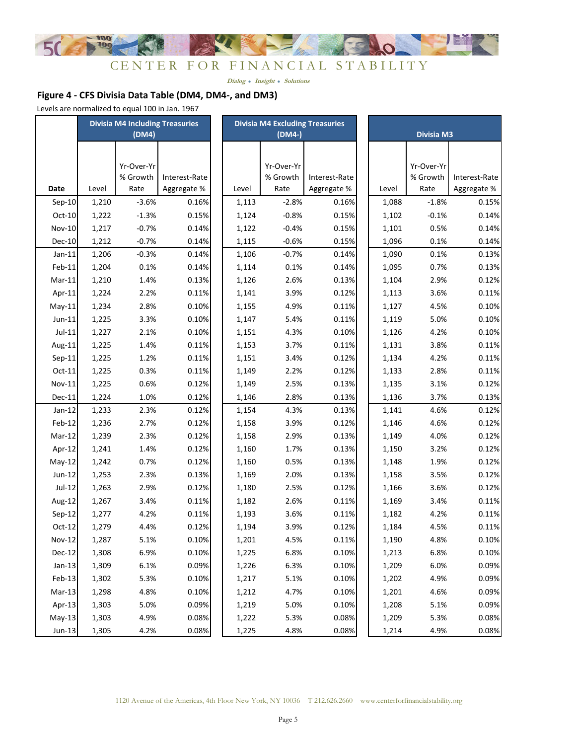

# **Figure 4 - CFS Divisia Data Table (DM4, DM4-, and DM3)**

Levels are normalized to equal 100 in Jan. 1967

|          | <b>Divisia M4 Including Treasuries</b> |            |               | <b>Divisia M4 Excluding Treasuries</b> |       |            |               |  |       |                   |               |
|----------|----------------------------------------|------------|---------------|----------------------------------------|-------|------------|---------------|--|-------|-------------------|---------------|
|          |                                        | (DM4)      |               |                                        |       | (DM4-)     |               |  |       | <b>Divisia M3</b> |               |
|          |                                        |            |               |                                        |       |            |               |  |       |                   |               |
|          |                                        | Yr-Over-Yr |               |                                        |       | Yr-Over-Yr |               |  |       | Yr-Over-Yr        |               |
|          |                                        | % Growth   | Interest-Rate |                                        |       | % Growth   | Interest-Rate |  |       | % Growth          | Interest-Rate |
| Date     | Level                                  | Rate       | Aggregate %   |                                        | Level | Rate       | Aggregate %   |  | Level | Rate              | Aggregate %   |
| $Sep-10$ | 1,210                                  | $-3.6%$    | 0.16%         |                                        | 1,113 | $-2.8%$    | 0.16%         |  | 1,088 | $-1.8%$           | 0.15%         |
| Oct-10   | 1,222                                  | $-1.3%$    | 0.15%         |                                        | 1,124 | $-0.8%$    | 0.15%         |  | 1,102 | $-0.1%$           | 0.14%         |
| Nov-10   | 1,217                                  | $-0.7%$    | 0.14%         |                                        | 1,122 | $-0.4%$    | 0.15%         |  | 1,101 | 0.5%              | 0.14%         |
| Dec-10   | 1,212                                  | $-0.7%$    | 0.14%         |                                        | 1,115 | $-0.6%$    | 0.15%         |  | 1,096 | 0.1%              | 0.14%         |
| $Jan-11$ | 1,206                                  | $-0.3%$    | 0.14%         |                                        | 1,106 | $-0.7%$    | 0.14%         |  | 1,090 | 0.1%              | 0.13%         |
| Feb-11   | 1,204                                  | 0.1%       | 0.14%         |                                        | 1,114 | 0.1%       | 0.14%         |  | 1,095 | 0.7%              | 0.13%         |
| Mar-11   | 1,210                                  | 1.4%       | 0.13%         |                                        | 1,126 | 2.6%       | 0.13%         |  | 1,104 | 2.9%              | 0.12%         |
| Apr-11   | 1,224                                  | 2.2%       | 0.11%         |                                        | 1,141 | 3.9%       | 0.12%         |  | 1,113 | 3.6%              | 0.11%         |
| $May-11$ | 1,234                                  | 2.8%       | 0.10%         |                                        | 1,155 | 4.9%       | 0.11%         |  | 1,127 | 4.5%              | 0.10%         |
| Jun-11   | 1,225                                  | 3.3%       | 0.10%         |                                        | 1,147 | 5.4%       | 0.11%         |  | 1,119 | 5.0%              | 0.10%         |
| $Jul-11$ | 1,227                                  | 2.1%       | 0.10%         |                                        | 1,151 | 4.3%       | 0.10%         |  | 1,126 | 4.2%              | 0.10%         |
| Aug-11   | 1,225                                  | 1.4%       | 0.11%         |                                        | 1,153 | 3.7%       | 0.11%         |  | 1,131 | 3.8%              | 0.11%         |
| $Sep-11$ | 1,225                                  | 1.2%       | 0.11%         |                                        | 1,151 | 3.4%       | 0.12%         |  | 1,134 | 4.2%              | 0.11%         |
| $Oct-11$ | 1,225                                  | 0.3%       | 0.11%         |                                        | 1,149 | 2.2%       | 0.12%         |  | 1,133 | 2.8%              | 0.11%         |
| Nov-11   | 1,225                                  | 0.6%       | 0.12%         |                                        | 1,149 | 2.5%       | 0.13%         |  | 1,135 | 3.1%              | 0.12%         |
| Dec-11   | 1,224                                  | 1.0%       | 0.12%         |                                        | 1,146 | 2.8%       | 0.13%         |  | 1,136 | 3.7%              | 0.13%         |
| $Jan-12$ | 1,233                                  | 2.3%       | 0.12%         |                                        | 1,154 | 4.3%       | 0.13%         |  | 1,141 | 4.6%              | 0.12%         |
| Feb-12   | 1,236                                  | 2.7%       | 0.12%         |                                        | 1,158 | 3.9%       | 0.12%         |  | 1,146 | 4.6%              | 0.12%         |
| Mar-12   | 1,239                                  | 2.3%       | 0.12%         |                                        | 1,158 | 2.9%       | 0.13%         |  | 1,149 | 4.0%              | 0.12%         |
| Apr-12   | 1,241                                  | 1.4%       | 0.12%         |                                        | 1,160 | 1.7%       | 0.13%         |  | 1,150 | 3.2%              | 0.12%         |
| May-12   | 1,242                                  | 0.7%       | 0.12%         |                                        | 1,160 | 0.5%       | 0.13%         |  | 1,148 | 1.9%              | 0.12%         |
| Jun-12   | 1,253                                  | 2.3%       | 0.13%         |                                        | 1,169 | 2.0%       | 0.13%         |  | 1,158 | 3.5%              | 0.12%         |
| Jul-12   | 1,263                                  | 2.9%       | 0.12%         |                                        | 1,180 | 2.5%       | 0.12%         |  | 1,166 | 3.6%              | 0.12%         |
| Aug-12   | 1,267                                  | 3.4%       | 0.11%         |                                        | 1,182 | 2.6%       | 0.11%         |  | 1,169 | 3.4%              | 0.11%         |
| $Sep-12$ | 1,277                                  | 4.2%       | 0.11%         |                                        | 1,193 | 3.6%       | 0.11%         |  | 1,182 | 4.2%              | 0.11%         |
| $Oct-12$ | 1,279                                  | 4.4%       | 0.12%         |                                        | 1,194 | 3.9%       | 0.12%         |  | 1,184 | 4.5%              | 0.11%         |
| Nov-12   | 1,287                                  | 5.1%       | 0.10%         |                                        | 1,201 | 4.5%       | 0.11%         |  | 1,190 | 4.8%              | 0.10%         |
| Dec-12   | 1,308                                  | 6.9%       | 0.10%         |                                        | 1,225 | 6.8%       | 0.10%         |  | 1,213 | 6.8%              | 0.10%         |
| $Jan-13$ | 1,309                                  | 6.1%       | 0.09%         |                                        | 1,226 | 6.3%       | 0.10%         |  | 1,209 | 6.0%              | 0.09%         |
| Feb-13   | 1,302                                  | 5.3%       | 0.10%         |                                        | 1,217 | 5.1%       | 0.10%         |  | 1,202 | 4.9%              | 0.09%         |
| $Mar-13$ | 1,298                                  | 4.8%       | 0.10%         |                                        | 1,212 | 4.7%       | 0.10%         |  | 1,201 | 4.6%              | 0.09%         |
| Apr-13   | 1,303                                  | 5.0%       | 0.09%         |                                        | 1,219 | 5.0%       | 0.10%         |  | 1,208 | 5.1%              | 0.09%         |
| $May-13$ | 1,303                                  | 4.9%       | 0.08%         |                                        | 1,222 | 5.3%       | 0.08%         |  | 1,209 | 5.3%              | 0.08%         |
| $Jun-13$ | 1,305                                  | 4.2%       | 0.08%         |                                        | 1,225 | 4.8%       | 0.08%         |  | 1,214 | 4.9%              | 0.08%         |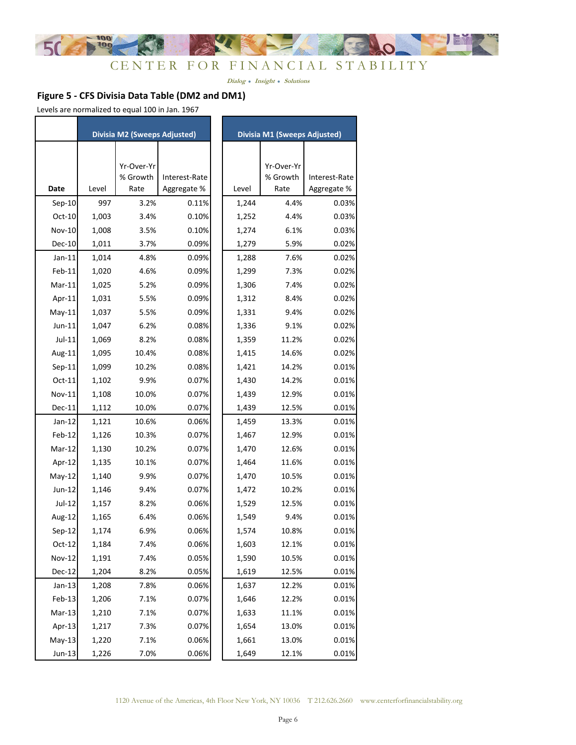

# **Figure 5 - CFS Divisia Data Table (DM2 and DM1)**

Levels are normalized to equal 100 in Jan. 1967

|               |       | Divisia M2 (Sweeps Adjusted) |               |       | <b>Divisia M1 (Sweeps Adjusted)</b> |               |
|---------------|-------|------------------------------|---------------|-------|-------------------------------------|---------------|
|               |       |                              |               |       |                                     |               |
|               |       | Yr-Over-Yr                   |               |       | Yr-Over-Yr                          |               |
|               |       | % Growth                     | Interest-Rate |       | % Growth                            | Interest-Rate |
| Date          | Level | Rate                         | Aggregate %   | Level | Rate                                | Aggregate %   |
| $Sep-10$      | 997   | 3.2%                         | 0.11%         | 1,244 | 4.4%                                | 0.03%         |
| $Oct-10$      | 1,003 | 3.4%                         | 0.10%         | 1,252 | 4.4%                                | 0.03%         |
| <b>Nov-10</b> | 1,008 | 3.5%                         | 0.10%         | 1,274 | 6.1%                                | 0.03%         |
| Dec-10        | 1,011 | 3.7%                         | 0.09%         | 1,279 | 5.9%                                | 0.02%         |
| $Jan-11$      | 1,014 | 4.8%                         | 0.09%         | 1,288 | 7.6%                                | 0.02%         |
| Feb-11        | 1,020 | 4.6%                         | 0.09%         | 1,299 | 7.3%                                | 0.02%         |
| $Mar-11$      | 1,025 | 5.2%                         | 0.09%         | 1,306 | 7.4%                                | 0.02%         |
| Apr-11        | 1,031 | 5.5%                         | 0.09%         | 1,312 | 8.4%                                | 0.02%         |
| $May-11$      | 1,037 | 5.5%                         | 0.09%         | 1,331 | 9.4%                                | 0.02%         |
| $Jun-11$      | 1,047 | 6.2%                         | 0.08%         | 1,336 | 9.1%                                | 0.02%         |
| Jul-11        | 1,069 | 8.2%                         | 0.08%         | 1,359 | 11.2%                               | 0.02%         |
| Aug-11        | 1,095 | 10.4%                        | 0.08%         | 1,415 | 14.6%                               | 0.02%         |
| $Sep-11$      | 1,099 | 10.2%                        | 0.08%         | 1,421 | 14.2%                               | 0.01%         |
| $Oct-11$      | 1,102 | 9.9%                         | 0.07%         | 1,430 | 14.2%                               | 0.01%         |
| Nov-11        | 1,108 | 10.0%                        | 0.07%         | 1,439 | 12.9%                               | 0.01%         |
| Dec-11        | 1,112 | 10.0%                        | 0.07%         | 1,439 | 12.5%                               | 0.01%         |
| $Jan-12$      | 1,121 | 10.6%                        | 0.06%         | 1,459 | 13.3%                               | 0.01%         |
| Feb-12        | 1,126 | 10.3%                        | 0.07%         | 1,467 | 12.9%                               | 0.01%         |
| Mar-12        | 1,130 | 10.2%                        | 0.07%         | 1,470 | 12.6%                               | 0.01%         |
| Apr-12        | 1,135 | 10.1%                        | 0.07%         | 1,464 | 11.6%                               | 0.01%         |
| $May-12$      | 1,140 | 9.9%                         | 0.07%         | 1,470 | 10.5%                               | 0.01%         |
| Jun-12        | 1,146 | 9.4%                         | 0.07%         | 1,472 | 10.2%                               | 0.01%         |
| Jul-12        | 1,157 | 8.2%                         | 0.06%         | 1,529 | 12.5%                               | 0.01%         |
| Aug-12        | 1,165 | 6.4%                         | 0.06%         | 1,549 | 9.4%                                | 0.01%         |
| $Sep-12$      | 1,174 | 6.9%                         | 0.06%         | 1,574 | 10.8%                               | 0.01%         |
| $Oct-12$      | 1,184 | 7.4%                         | 0.06%         | 1,603 | 12.1%                               | 0.01%         |
| <b>Nov-12</b> | 1,191 | 7.4%                         | 0.05%         | 1,590 | 10.5%                               | 0.01%         |
| <b>Dec-12</b> | 1,204 | 8.2%                         | 0.05%         | 1,619 | 12.5%                               | 0.01%         |
| $Jan-13$      | 1,208 | 7.8%                         | 0.06%         | 1,637 | 12.2%                               | 0.01%         |
| Feb-13        | 1,206 | 7.1%                         | 0.07%         | 1,646 | 12.2%                               | 0.01%         |
| $Mar-13$      | 1,210 | 7.1%                         | 0.07%         | 1,633 | 11.1%                               | 0.01%         |
| Apr-13        | 1,217 | 7.3%                         | 0.07%         | 1,654 | 13.0%                               | 0.01%         |
| $May-13$      | 1,220 | 7.1%                         | 0.06%         | 1,661 | 13.0%                               | 0.01%         |
| Jun-13        | 1,226 | 7.0%                         | 0.06%         | 1,649 | 12.1%                               | 0.01%         |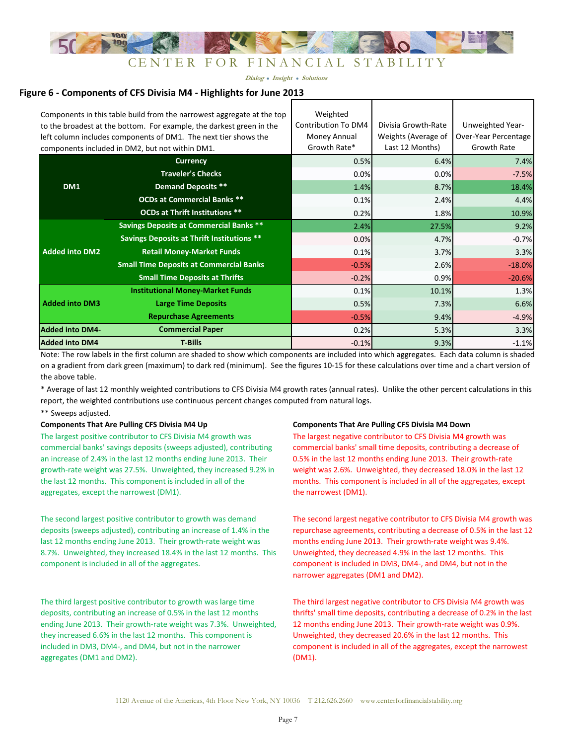

#### **Figure 6 - Components of CFS Divisia M4 - Highlights for June 2013**

|                        | Components in this table build from the narrowest aggregate at the top<br>to the broadest at the bottom. For example, the darkest green in the<br>left column includes components of DM1. The next tier shows the<br>components included in DM2, but not within DM1. | Weighted<br>Contribution To DM4<br>Money Annual<br>Growth Rate* | Divisia Growth-Rate<br>Weights (Average of<br>Last 12 Months) | Unweighted Year-<br>Over-Year Percentage<br>Growth Rate |
|------------------------|----------------------------------------------------------------------------------------------------------------------------------------------------------------------------------------------------------------------------------------------------------------------|-----------------------------------------------------------------|---------------------------------------------------------------|---------------------------------------------------------|
|                        | <b>Currency</b>                                                                                                                                                                                                                                                      | 0.5%                                                            | 6.4%                                                          | 7.4%                                                    |
|                        | <b>Traveler's Checks</b>                                                                                                                                                                                                                                             | 0.0%                                                            | 0.0%                                                          | $-7.5%$                                                 |
| DM1                    | <b>Demand Deposits **</b>                                                                                                                                                                                                                                            | 1.4%                                                            | 8.7%                                                          | 18.4%                                                   |
|                        | <b>OCDs at Commercial Banks **</b>                                                                                                                                                                                                                                   | 0.1%                                                            | 2.4%                                                          | 4.4%                                                    |
|                        | <b>OCDs at Thrift Institutions **</b>                                                                                                                                                                                                                                | 0.2%                                                            | 1.8%                                                          | 10.9%                                                   |
|                        | <b>Savings Deposits at Commercial Banks **</b>                                                                                                                                                                                                                       | 2.4%                                                            | 27.5%                                                         | 9.2%                                                    |
|                        | <b>Savings Deposits at Thrift Institutions **</b>                                                                                                                                                                                                                    | 0.0%                                                            | 4.7%                                                          | $-0.7%$                                                 |
| <b>Added into DM2</b>  | <b>Retail Money-Market Funds</b>                                                                                                                                                                                                                                     | 0.1%                                                            | 3.7%                                                          | 3.3%                                                    |
|                        | <b>Small Time Deposits at Commercial Banks</b>                                                                                                                                                                                                                       | $-0.5%$                                                         | 2.6%                                                          | $-18.0%$                                                |
|                        | <b>Small Time Deposits at Thrifts</b>                                                                                                                                                                                                                                | $-0.2%$                                                         | 0.9%                                                          | $-20.6%$                                                |
|                        | <b>Institutional Money-Market Funds</b>                                                                                                                                                                                                                              | 0.1%                                                            | 10.1%                                                         | 1.3%                                                    |
| <b>Added into DM3</b>  | <b>Large Time Deposits</b>                                                                                                                                                                                                                                           | 0.5%                                                            | 7.3%                                                          | 6.6%                                                    |
|                        | <b>Repurchase Agreements</b>                                                                                                                                                                                                                                         | $-0.5%$                                                         | 9.4%                                                          | $-4.9%$                                                 |
| <b>Added into DM4-</b> | <b>Commercial Paper</b>                                                                                                                                                                                                                                              | 0.2%                                                            | 5.3%                                                          | 3.3%                                                    |
| <b>Added into DM4</b>  | <b>T-Bills</b>                                                                                                                                                                                                                                                       | $-0.1%$                                                         | 9.3%                                                          | $-1.1%$                                                 |

Note: The row labels in the first column are shaded to show which components are included into which aggregates. Each data column is shaded on a gradient from dark green (maximum) to dark red (minimum). See the figures 10-15 for these calculations over time and a chart version of the above table.

\* Average of last 12 monthly weighted contributions to CFS Divisia M4 growth rates (annual rates). Unlike the other percent calculations in this report, the weighted contributions use continuous percent changes computed from natural logs.

\*\* Sweeps adjusted.

The largest positive contributor to CFS Divisia M4 growth was commercial banks' savings deposits (sweeps adjusted), contributing an increase of 2.4% in the last 12 months ending June 2013. Their growth-rate weight was 27.5%. Unweighted, they increased 9.2% in the last 12 months. This component is included in all of the aggregates, except the narrowest (DM1).

The second largest positive contributor to growth was demand deposits (sweeps adjusted), contributing an increase of 1.4% in the last 12 months ending June 2013. Their growth-rate weight was 8.7%. Unweighted, they increased 18.4% in the last 12 months. This component is included in all of the aggregates.

The third largest positive contributor to growth was large time deposits, contributing an increase of 0.5% in the last 12 months ending June 2013. Their growth-rate weight was 7.3%. Unweighted, they increased 6.6% in the last 12 months. This component is included in DM3, DM4-, and DM4, but not in the narrower aggregates (DM1 and DM2).

#### Components That Are Pulling CFS Divisia M4 Up Components That Are Pulling CFS Divisia M4 Down

The largest negative contributor to CFS Divisia M4 growth was commercial banks' small time deposits, contributing a decrease of 0.5% in the last 12 months ending June 2013. Their growth-rate weight was 2.6%. Unweighted, they decreased 18.0% in the last 12 months. This component is included in all of the aggregates, except the narrowest (DM1).

The second largest negative contributor to CFS Divisia M4 growth was repurchase agreements, contributing a decrease of 0.5% in the last 12 months ending June 2013. Their growth-rate weight was 9.4%. Unweighted, they decreased 4.9% in the last 12 months. This component is included in DM3, DM4-, and DM4, but not in the narrower aggregates (DM1 and DM2).

The third largest negative contributor to CFS Divisia M4 growth was thrifts' small time deposits, contributing a decrease of 0.2% in the last 12 months ending June 2013. Their growth-rate weight was 0.9%. Unweighted, they decreased 20.6% in the last 12 months. This component is included in all of the aggregates, except the narrowest (DM1).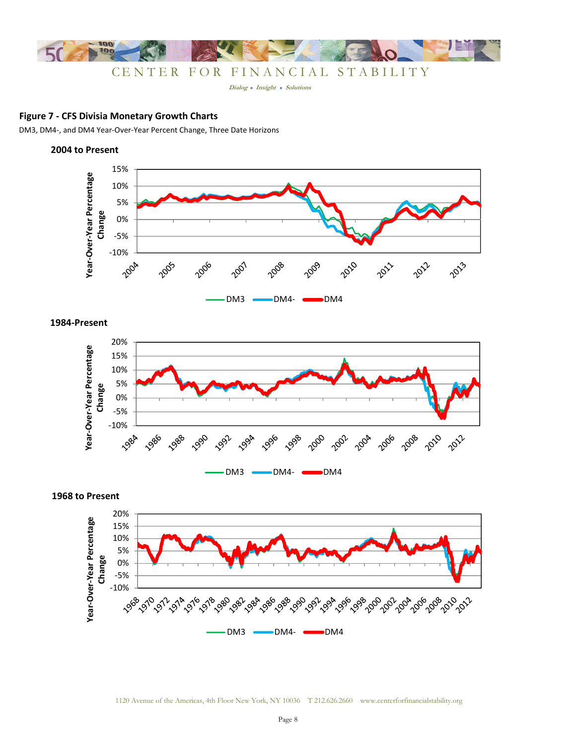

**Dialog Insight Solutions**

### **Figure 7 - CFS Divisia Monetary Growth Charts**

DM3, DM4-, and DM4 Year-Over-Year Percent Change, Three Date Horizons

#### **2004 to Present**



DM3 DM4- DM4

**1984-Present**



**1968 to Present**

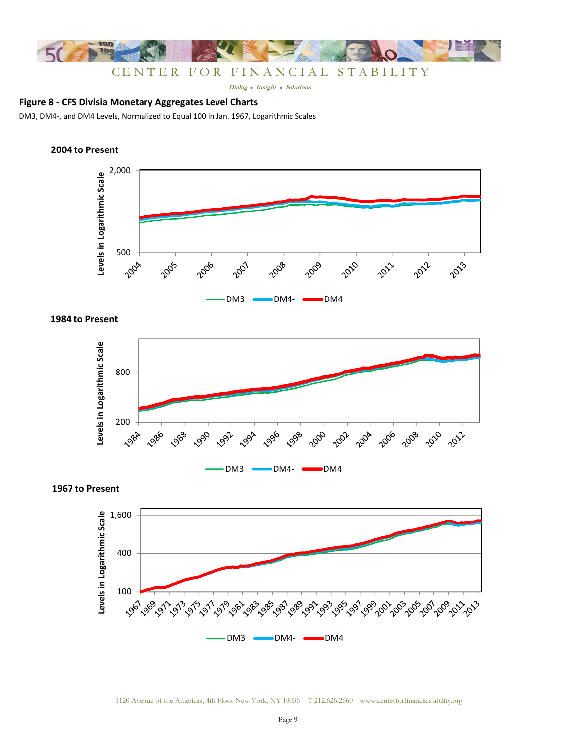

# **Figure 8 - CFS Divisia Monetary Aggregates Level Charts**

DM3, DM4-, and DM4 Levels, Normalized to Equal 100 in Jan. 1967, Logarithmic Scales

### **2004 to Present**





**1967 to Present**



# **1984 to Present**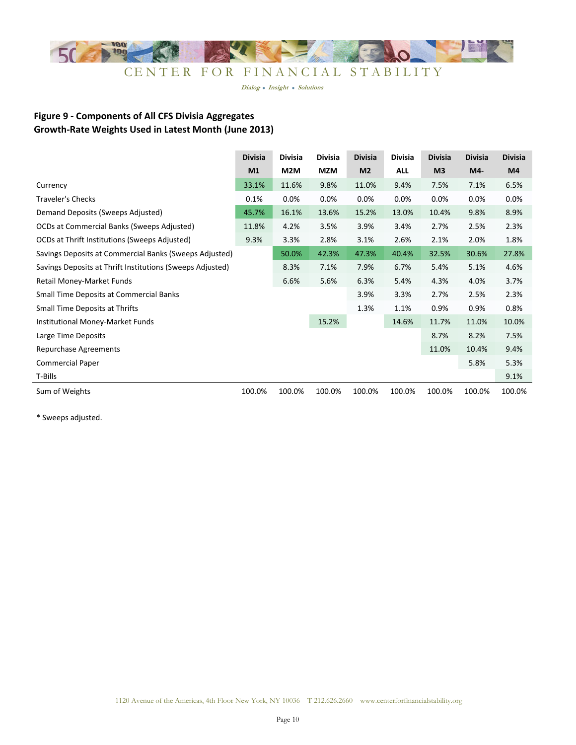

# **Figure 9 - Components of All CFS Divisia Aggregates Growth-Rate Weights Used in Latest Month (June 2013)**

|                                                           | <b>Divisia</b> | Divisia | <b>Divisia</b> | <b>Divisia</b> | Divisia | <b>Divisia</b> | <b>Divisia</b> | <b>Divisia</b> |
|-----------------------------------------------------------|----------------|---------|----------------|----------------|---------|----------------|----------------|----------------|
|                                                           | M <sub>1</sub> | M2M     | MZM            | M <sub>2</sub> | ALL     | M <sub>3</sub> | M4-            | M4             |
| Currency                                                  | 33.1%          | 11.6%   | 9.8%           | 11.0%          | 9.4%    | 7.5%           | 7.1%           | 6.5%           |
| <b>Traveler's Checks</b>                                  | 0.1%           | 0.0%    | 0.0%           | 0.0%           | 0.0%    | 0.0%           | 0.0%           | 0.0%           |
| Demand Deposits (Sweeps Adjusted)                         | 45.7%          | 16.1%   | 13.6%          | 15.2%          | 13.0%   | 10.4%          | 9.8%           | 8.9%           |
| OCDs at Commercial Banks (Sweeps Adjusted)                | 11.8%          | 4.2%    | 3.5%           | 3.9%           | 3.4%    | 2.7%           | 2.5%           | 2.3%           |
| OCDs at Thrift Institutions (Sweeps Adjusted)             | 9.3%           | 3.3%    | 2.8%           | 3.1%           | 2.6%    | 2.1%           | 2.0%           | 1.8%           |
| Savings Deposits at Commercial Banks (Sweeps Adjusted)    |                | 50.0%   | 42.3%          | 47.3%          | 40.4%   | 32.5%          | 30.6%          | 27.8%          |
| Savings Deposits at Thrift Institutions (Sweeps Adjusted) |                | 8.3%    | 7.1%           | 7.9%           | 6.7%    | 5.4%           | 5.1%           | 4.6%           |
| Retail Money-Market Funds                                 |                | 6.6%    | 5.6%           | 6.3%           | 5.4%    | 4.3%           | 4.0%           | 3.7%           |
| Small Time Deposits at Commercial Banks                   |                |         |                | 3.9%           | 3.3%    | 2.7%           | 2.5%           | 2.3%           |
| Small Time Deposits at Thrifts                            |                |         |                | 1.3%           | 1.1%    | 0.9%           | 0.9%           | 0.8%           |
| Institutional Money-Market Funds                          |                |         | 15.2%          |                | 14.6%   | 11.7%          | 11.0%          | 10.0%          |
| Large Time Deposits                                       |                |         |                |                |         | 8.7%           | 8.2%           | 7.5%           |
| Repurchase Agreements                                     |                |         |                |                |         | 11.0%          | 10.4%          | 9.4%           |
| <b>Commercial Paper</b>                                   |                |         |                |                |         |                | 5.8%           | 5.3%           |
| T-Bills                                                   |                |         |                |                |         |                |                | 9.1%           |
| Sum of Weights                                            | 100.0%         | 100.0%  | 100.0%         | 100.0%         | 100.0%  | 100.0%         | 100.0%         | 100.0%         |

\* Sweeps adjusted.

 $\overline{a}$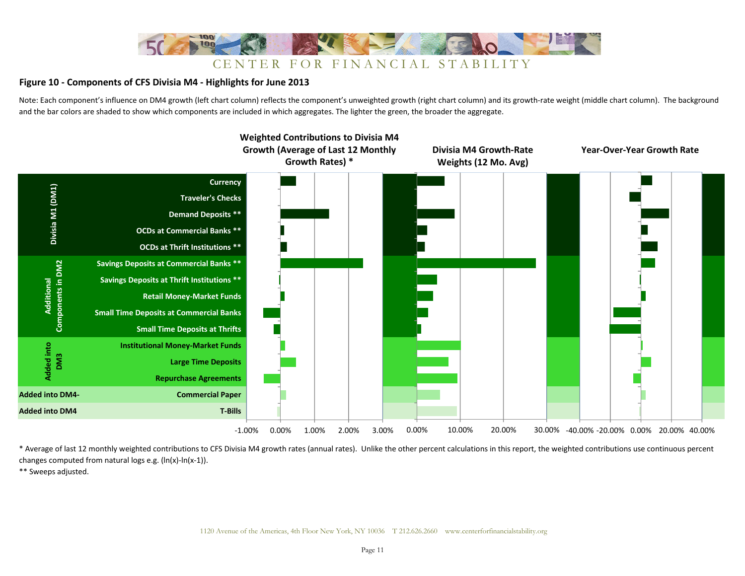

#### **Figure 10 - Components of CFS Divisia M4 - Highlights for June 2013**

Note: Each component's influence on DM4 growth (left chart column) reflects the component's unweighted growth (right chart column) and its growth-rate weight (middle chart column). The background and the bar colors are shaded to show which components are included in which aggregates. The lighter the green, the broader the aggregate.



\* Average of last 12 monthly weighted contributions to CFS Divisia M4 growth rates (annual rates). Unlike the other percent calculations in this report, the weighted contributions use continuous percent changes computed from natural logs e.g. (ln(x)-ln(x-1)).

\*\* Sweeps adjusted.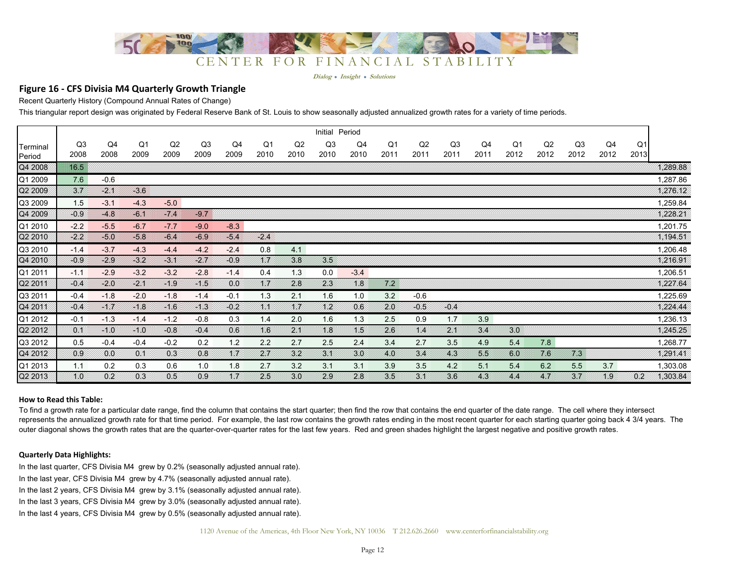

#### **Figure 16 - CFS Divisia M4 Quarterly Growth Triangle**

Recent Quarterly History (Compound Annual Rates of Change)

This triangular report design was originated by Federal Reserve Bank of St. Louis to show seasonally adjusted annualized growth rates for a variety of time periods.

|                    |                |            |            |            |                        |            |                        |            | Initial                | Period     |               |            |            |            |            |            |            |            |            |          |
|--------------------|----------------|------------|------------|------------|------------------------|------------|------------------------|------------|------------------------|------------|---------------|------------|------------|------------|------------|------------|------------|------------|------------|----------|
| Terminal<br>Period | Q3<br>2008     | Q4<br>2008 | Q1<br>2009 | Q2<br>2009 | Q <sub>3</sub><br>2009 | Q4<br>2009 | Q <sub>1</sub><br>2010 | Q2<br>2010 | Q <sub>3</sub><br>2010 | Q4<br>2010 | Q1<br>2011    | Q2<br>2011 | Q3<br>2011 | Q4<br>2011 | Q1<br>2012 | Q2<br>2012 | Q3<br>2012 | Q4<br>2012 | Q1<br>2013 |          |
| Q4 2008            | $16.5^{\circ}$ |            |            |            |                        |            |                        |            |                        |            |               |            |            |            |            |            |            |            |            | 1,289.88 |
| Q1 2009            | 7.6            | $-0.6$     |            |            |                        |            |                        |            |                        |            |               |            |            |            |            |            |            |            |            | 1,287.86 |
| Q2 2009            | Z t            | XX         | $-3.6$     |            |                        |            |                        |            |                        |            |               |            |            |            |            |            |            |            |            | 1,276.12 |
| Q3 2009            | 1.5            | $-3.1$     | $-4.3$     | $-5.0$     |                        |            |                        |            |                        |            |               |            |            |            |            |            |            |            |            | 1,259.84 |
| Q4 2009            | $-0.9$         | $-4.8$     | 8638       | KOR        | $-97$                  |            |                        |            |                        |            |               |            |            |            |            |            |            |            |            | 1,228.21 |
| Q1 2010            | $-2.2$         | $-5.5$     | $-6.7$     | $-7.7$     | $-9.0$                 | $-8.3$     |                        |            |                        |            |               |            |            |            |            |            |            |            |            | 1,201.75 |
| Q2 2010            | $-2.2$         | -50        | $-5.8$     | $-6.4$     | $-6.9$                 | 34         | $-2.4$                 |            |                        |            |               |            |            |            |            |            |            |            |            | 1,194.51 |
| Q3 2010            | $-1.4$         | $-3.7$     | $-4.3$     | $-4.4$     | $-4.2$                 | $-2.4$     | 0.8                    | 4.1        |                        |            |               |            |            |            |            |            |            |            |            | 1,206.48 |
| Q4 2010            | $-0.9$         | $-2.9$     | $-3.2$     | 31         | -2 1                   | $-0.9$     | XX                     | 38         | 35                     |            |               |            |            |            |            |            |            |            |            | 1,216.91 |
| Q1 2011            | $-1.1$         | $-2.9$     | $-3.2$     | $-3.2$     | $-2.8$                 | $-1.4$     | 0.4                    | 1.3        | 0.0                    | $-3.4$     |               |            |            |            |            |            |            |            |            | 1,206.51 |
| Q2 2011            | $-0.4$         | $-20$      | BN 88      | -19        | 81.58                  | 00         | XX                     | 2.8        | $2\,3$                 | 48         | XX.           |            |            |            |            |            |            |            |            | 1,227.64 |
| Q3 2011            | $-0.4$         | $-1.8$     | $-2.0$     | $-1.8$     | $-1.4$                 | $-0.1$     | 1.3                    | 2.1        | 1.6                    | 1.0        | 3.2           | $-0.6$     |            |            |            |            |            |            |            | 1,225.69 |
| Q4 2011            | $-0.4$         | BA         | 81.B       | 316        | 38                     | $-0.2$     | XX                     | N F        | 882                    | 06         | $20^{\circ}$  | -0.5       | $-0.4$     |            |            |            |            |            |            | 1.224.44 |
| Q1 2012            | $-0.1$         | $-1.3$     | $-1.4$     | $-1.2$     | $-0.8$                 | 0.3        | 1.4                    | 2.0        | 1.6                    | 1.3        | 2.5           | 0.9        | 1.7        | 3.9        |            |            |            |            |            | 1,236.13 |
| Q2 2012            | :03            | ⊗ు⊗        | 81.0       | $-0.8$     | -04                    | 0.6        | 16                     | X          | A 8                    | XS         | $2.6^{\circ}$ | 84         | XX         | 34         | 3.0        |            |            |            |            | 1,245.25 |
| Q3 2012            | 0.5            | $-0.4$     | $-0.4$     | $-0.2$     | 0.2                    | 1.2        | 2.2                    | 2.7        | 2.5                    | 2.4        | 3.4           | 2.7        | 3.5        | 4.9        | 5.4        | 7.8        |            |            |            | 1,268.77 |
| Q4 2012            | 09             | 00         | Œ          | 0.3        | 0.8                    | XX         | XX                     | 32         | XX                     | 30         | 40            | 34         | 43         | $33\,$     | 60         | 76         | XX         |            |            | 1,291.41 |
| Q1 2013            | 1.1            | 0.2        | 0.3        | 0.6        | 1.0                    | 1.8        | 2.7                    | 3.2        | 3.1                    | 3.1        | 3.9           | 3.5        | 4.2        | 5.1        | 5.4        | 6.2        | 5.5        | 3.7        |            | 1,303.08 |
| Q2 2013            | 10             | 02         | 03         | 05         | 0.9                    | ₩€         | 2.5                    | 30         | $2.9\,$                | 2.8        | 35            | 34         | 36         | 43         | 4.4        | XX.        | 37         | 49         | 0.2        | 1,303.84 |

#### **How to Read this Table:**

To find a growth rate for a particular date range, find the column that contains the start quarter; then find the row that contains the end quarter of the date range. The cell where they intersect represents the annualized growth rate for that time period. For example, the last row contains the growth rates ending in the most recent quarter for each starting quarter going back 4 3/4 years. The outer diagonal shows the growth rates that are the quarter-over-quarter rates for the last few years. Red and green shades highlight the largest negative and positive growth rates.

#### **Quarterly Data Highlights:**

In the last quarter, CFS Divisia M4 grew by 0.2% (seasonally adjusted annual rate).

- In the last year, CFS Divisia M4 grew by 4.7% (seasonally adjusted annual rate).
- In the last 2 years, CFS Divisia M4 grew by 3.1% (seasonally adjusted annual rate).
- In the last 3 years, CFS Divisia M4 grew by 3.0% (seasonally adjusted annual rate).
- In the last 4 years, CFS Divisia M4 grew by 0.5% (seasonally adjusted annual rate).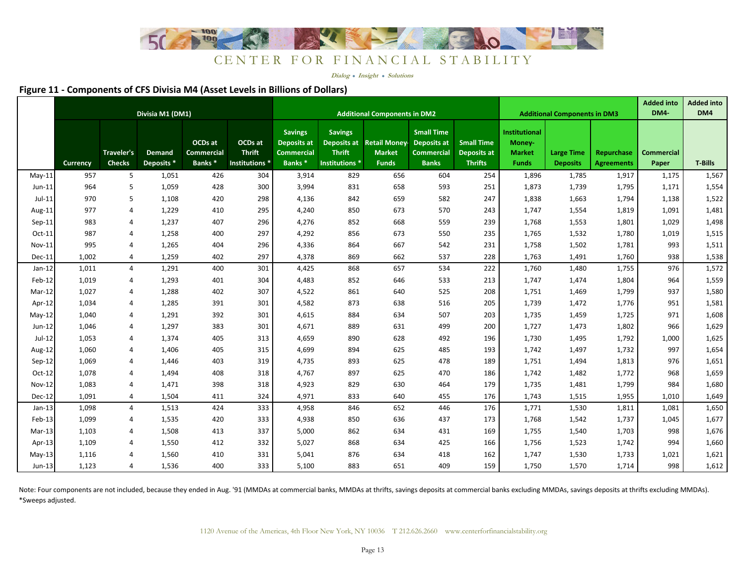

**Dialog Insight Solutions**

#### **Figure 11 - Components of CFS Divisia M4 (Asset Levels in Billions of Dollars)**

|               |          |                             | Divisia M1 (DM1)            |                                             |                                            | <b>Additional Components in DM2</b>                                             |                                                                         |                                                       |                                                                       |                                                           |                                                          | <b>Additional Components in DM3</b>  |                                 | <b>Added into</b><br><b>DM4</b> | <b>Added into</b><br>DM4 |
|---------------|----------|-----------------------------|-----------------------------|---------------------------------------------|--------------------------------------------|---------------------------------------------------------------------------------|-------------------------------------------------------------------------|-------------------------------------------------------|-----------------------------------------------------------------------|-----------------------------------------------------------|----------------------------------------------------------|--------------------------------------|---------------------------------|---------------------------------|--------------------------|
|               | Currency | Traveler's<br><b>Checks</b> | <b>Demand</b><br>Deposits * | OCDs at<br>Commercial<br>Banks <sup>*</sup> | OCDs at<br><b>Thrift</b><br>Institutions * | <b>Savings</b><br><b>Deposits at</b><br><b>Commercial</b><br>Banks <sup>*</sup> | <b>Savings</b><br><b>Deposits at</b><br><b>Thrift</b><br>Institutions * | <b>Retail Money-</b><br><b>Market</b><br><b>Funds</b> | <b>Small Time</b><br>Deposits at<br><b>Commercial</b><br><b>Banks</b> | <b>Small Time</b><br><b>Deposits at</b><br><b>Thrifts</b> | Institutional<br>Money-<br><b>Market</b><br><b>Funds</b> | <b>Large Time</b><br><b>Deposits</b> | Repurchase<br><b>Agreements</b> | <b>Commercial</b><br>Paper      | <b>T-Bills</b>           |
| $May-11$      | 957      | 5                           | 1,051                       | 426                                         | 304                                        | 3,914                                                                           | 829                                                                     | 656                                                   | 604                                                                   | 254                                                       | 1,896                                                    | 1,785                                | 1,917                           | 1,175                           | 1,567                    |
| $Jun-11$      | 964      | 5                           | 1,059                       | 428                                         | 300                                        | 3,994                                                                           | 831                                                                     | 658                                                   | 593                                                                   | 251                                                       | 1,873                                                    | 1,739                                | 1,795                           | 1,171                           | 1,554                    |
| $Jul-11$      | 970      | 5                           | 1,108                       | 420                                         | 298                                        | 4,136                                                                           | 842                                                                     | 659                                                   | 582                                                                   | 247                                                       | 1,838                                                    | 1,663                                | 1,794                           | 1,138                           | 1,522                    |
| Aug-11        | 977      | $\overline{4}$              | 1,229                       | 410                                         | 295                                        | 4,240                                                                           | 850                                                                     | 673                                                   | 570                                                                   | 243                                                       | 1,747                                                    | 1,554                                | 1,819                           | 1,091                           | 1,481                    |
| $Sep-11$      | 983      | $\overline{4}$              | 1,237                       | 407                                         | 296                                        | 4,276                                                                           | 852                                                                     | 668                                                   | 559                                                                   | 239                                                       | 1,768                                                    | 1,553                                | 1,801                           | 1,029                           | 1,498                    |
| $Oct-11$      | 987      | $\overline{4}$              | 1,258                       | 400                                         | 297                                        | 4,292                                                                           | 856                                                                     | 673                                                   | 550                                                                   | 235                                                       | 1,765                                                    | 1,532                                | 1,780                           | 1,019                           | 1,515                    |
| <b>Nov-11</b> | 995      | $\overline{4}$              | 1,265                       | 404                                         | 296                                        | 4,336                                                                           | 864                                                                     | 667                                                   | 542                                                                   | 231                                                       | 1,758                                                    | 1,502                                | 1,781                           | 993                             | 1,511                    |
| Dec-11        | 1,002    | $\overline{4}$              | 1,259                       | 402                                         | 297                                        | 4,378                                                                           | 869                                                                     | 662                                                   | 537                                                                   | 228                                                       | 1,763                                                    | 1,491                                | 1,760                           | 938                             | 1,538                    |
| $Jan-12$      | 1,011    | $\overline{4}$              | 1,291                       | 400                                         | 301                                        | 4,425                                                                           | 868                                                                     | 657                                                   | 534                                                                   | 222                                                       | 1,760                                                    | 1,480                                | 1,755                           | 976                             | 1,572                    |
| Feb-12        | 1,019    | 4                           | 1,293                       | 401                                         | 304                                        | 4,483                                                                           | 852                                                                     | 646                                                   | 533                                                                   | 213                                                       | 1,747                                                    | 1,474                                | 1,804                           | 964                             | 1,559                    |
| Mar-12        | 1,027    | $\overline{4}$              | 1,288                       | 402                                         | 307                                        | 4,522                                                                           | 861                                                                     | 640                                                   | 525                                                                   | 208                                                       | 1,751                                                    | 1,469                                | 1,799                           | 937                             | 1,580                    |
| Apr-12        | 1,034    | $\overline{4}$              | 1,285                       | 391                                         | 301                                        | 4,582                                                                           | 873                                                                     | 638                                                   | 516                                                                   | 205                                                       | 1,739                                                    | 1,472                                | 1,776                           | 951                             | 1,581                    |
| $May-12$      | 1,040    | $\overline{4}$              | 1,291                       | 392                                         | 301                                        | 4,615                                                                           | 884                                                                     | 634                                                   | 507                                                                   | 203                                                       | 1,735                                                    | 1,459                                | 1,725                           | 971                             | 1,608                    |
| Jun-12        | 1,046    | $\overline{4}$              | 1,297                       | 383                                         | 301                                        | 4,671                                                                           | 889                                                                     | 631                                                   | 499                                                                   | 200                                                       | 1,727                                                    | 1,473                                | 1,802                           | 966                             | 1,629                    |
| Jul-12        | 1,053    | 4                           | 1,374                       | 405                                         | 313                                        | 4,659                                                                           | 890                                                                     | 628                                                   | 492                                                                   | 196                                                       | 1,730                                                    | 1,495                                | 1,792                           | 1,000                           | 1,625                    |
| Aug-12        | 1,060    | $\overline{4}$              | 1,406                       | 405                                         | 315                                        | 4,699                                                                           | 894                                                                     | 625                                                   | 485                                                                   | 193                                                       | 1,742                                                    | 1,497                                | 1,732                           | 997                             | 1,654                    |
| $Sep-12$      | 1,069    | $\overline{4}$              | 1,446                       | 403                                         | 319                                        | 4,735                                                                           | 893                                                                     | 625                                                   | 478                                                                   | 189                                                       | 1,751                                                    | 1,494                                | 1,813                           | 976                             | 1,651                    |
| Oct-12        | 1,078    | $\overline{4}$              | 1,494                       | 408                                         | 318                                        | 4,767                                                                           | 897                                                                     | 625                                                   | 470                                                                   | 186                                                       | 1,742                                                    | 1,482                                | 1,772                           | 968                             | 1,659                    |
| Nov-12        | 1,083    | $\overline{4}$              | 1,471                       | 398                                         | 318                                        | 4,923                                                                           | 829                                                                     | 630                                                   | 464                                                                   | 179                                                       | 1,735                                                    | 1,481                                | 1,799                           | 984                             | 1,680                    |
| Dec-12        | 1,091    | $\overline{4}$              | 1,504                       | 411                                         | 324                                        | 4,971                                                                           | 833                                                                     | 640                                                   | 455                                                                   | 176                                                       | 1,743                                                    | 1,515                                | 1,955                           | 1,010                           | 1,649                    |
| $Jan-13$      | 1,098    | 4                           | 1,513                       | 424                                         | 333                                        | 4,958                                                                           | 846                                                                     | 652                                                   | 446                                                                   | 176                                                       | 1,771                                                    | 1,530                                | 1,811                           | 1,081                           | 1,650                    |
| Feb-13        | 1,099    | $\overline{4}$              | 1,535                       | 420                                         | 333                                        | 4,938                                                                           | 850                                                                     | 636                                                   | 437                                                                   | 173                                                       | 1,768                                                    | 1,542                                | 1,737                           | 1,045                           | 1,677                    |
| $Mar-13$      | 1,103    | $\overline{4}$              | 1,508                       | 413                                         | 337                                        | 5,000                                                                           | 862                                                                     | 634                                                   | 431                                                                   | 169                                                       | 1,755                                                    | 1,540                                | 1,703                           | 998                             | 1,676                    |
| Apr-13        | 1,109    | $\overline{4}$              | 1,550                       | 412                                         | 332                                        | 5,027                                                                           | 868                                                                     | 634                                                   | 425                                                                   | 166                                                       | 1,756                                                    | 1,523                                | 1,742                           | 994                             | 1,660                    |
| $May-13$      | 1,116    | $\overline{4}$              | 1,560                       | 410                                         | 331                                        | 5,041                                                                           | 876                                                                     | 634                                                   | 418                                                                   | 162                                                       | 1,747                                                    | 1,530                                | 1,733                           | 1,021                           | 1,621                    |
| Jun-13        | 1,123    | $\overline{4}$              | 1,536                       | 400                                         | 333                                        | 5,100                                                                           | 883                                                                     | 651                                                   | 409                                                                   | 159                                                       | 1,750                                                    | 1,570                                | 1,714                           | 998                             | 1,612                    |

\*Sweeps adjusted.Note: Four components are not included, because they ended in Aug. '91 (MMDAs at commercial banks, MMDAs at thrifts, savings deposits at commercial banks excluding MMDAs, savings deposits at thrifts excluding MMDAs).

1120 Avenue of the Americas, 4th Floor New York, NY 10036 T 212.626.2660 www.centerforfinancialstability.org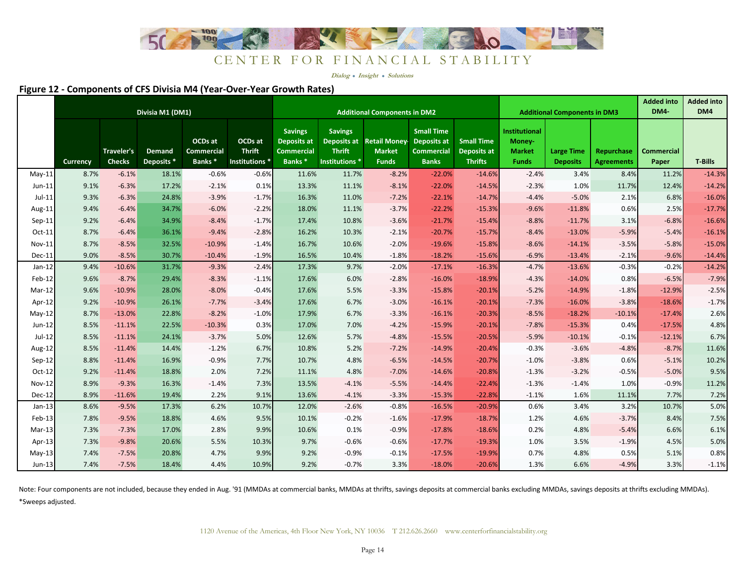

**Dialog Insight Solutions**

#### **Figure 12 - Components of CFS Divisia M4 (Year-Over-Year Growth Rates)**

|               |          | Divisia M1 (DM1)            |                      |                                             | <b>Additional Components in DM2</b>                   |                                                                                 |                                                   |                                                            |                                                                       |                                                           | <b>Additional Components in DM3</b>                      |                                      | <b>Added into</b><br><b>DM4</b> | <b>Added into</b><br>DM4   |                |
|---------------|----------|-----------------------------|----------------------|---------------------------------------------|-------------------------------------------------------|---------------------------------------------------------------------------------|---------------------------------------------------|------------------------------------------------------------|-----------------------------------------------------------------------|-----------------------------------------------------------|----------------------------------------------------------|--------------------------------------|---------------------------------|----------------------------|----------------|
|               | Currency | Traveler's<br><b>Checks</b> | Demand<br>Deposits * | OCDs at<br>Commercial<br>Banks <sup>*</sup> | OCDs at<br><b>Thrift</b><br>Institutions <sup>*</sup> | <b>Savings</b><br><b>Deposits at</b><br><b>Commercial</b><br>Banks <sup>*</sup> | <b>Savings</b><br><b>Thrift</b><br>Institutions * | Deposits at Retail Money-<br><b>Market</b><br><b>Funds</b> | <b>Small Time</b><br>Deposits at<br><b>Commercial</b><br><b>Banks</b> | <b>Small Time</b><br><b>Deposits at</b><br><b>Thrifts</b> | Institutional<br>Money-<br><b>Market</b><br><b>Funds</b> | <b>Large Time</b><br><b>Deposits</b> | Repurchase<br><b>Agreements</b> | <b>Commercial</b><br>Paper | <b>T-Bills</b> |
| $May-11$      | 8.7%     | $-6.1%$                     | 18.1%                | $-0.6%$                                     | $-0.6%$                                               | 11.6%                                                                           | 11.7%                                             | $-8.2%$                                                    | $-22.0%$                                                              | $-14.6%$                                                  | $-2.4%$                                                  | 3.4%                                 | 8.4%                            | 11.2%                      | $-14.3%$       |
| $Jun-11$      | 9.1%     | $-6.3%$                     | 17.2%                | $-2.1%$                                     | 0.1%                                                  | 13.3%                                                                           | 11.1%                                             | $-8.1%$                                                    | $-22.0%$                                                              | $-14.5%$                                                  | $-2.3%$                                                  | 1.0%                                 | 11.7%                           | 12.4%                      | $-14.2%$       |
| $Jul-11$      | 9.3%     | $-6.3%$                     | 24.8%                | $-3.9%$                                     | $-1.7%$                                               | 16.3%                                                                           | 11.0%                                             | $-7.2%$                                                    | $-22.1%$                                                              | $-14.7%$                                                  | $-4.4%$                                                  | $-5.0%$                              | 2.1%                            | 6.8%                       | $-16.0%$       |
| Aug-11        | 9.4%     | $-6.4%$                     | 34.7%                | $-6.0%$                                     | $-2.2%$                                               | 18.0%                                                                           | 11.1%                                             | $-3.7%$                                                    | $-22.2%$                                                              | $-15.3%$                                                  | $-9.6%$                                                  | $-11.8%$                             | 0.6%                            | 2.5%                       | $-17.7%$       |
| $Sep-11$      | 9.2%     | $-6.4%$                     | 34.9%                | $-8.4%$                                     | $-1.7%$                                               | 17.4%                                                                           | 10.8%                                             | $-3.6%$                                                    | $-21.7%$                                                              | $-15.4%$                                                  | $-8.8%$                                                  | $-11.7%$                             | 3.1%                            | $-6.8%$                    | $-16.6%$       |
| Oct-11        | 8.7%     | $-6.4%$                     | 36.1%                | $-9.4%$                                     | $-2.8%$                                               | 16.2%                                                                           | 10.3%                                             | $-2.1%$                                                    | $-20.7%$                                                              | $-15.7%$                                                  | $-8.4%$                                                  | $-13.0%$                             | $-5.9%$                         | $-5.4%$                    | $-16.1%$       |
| Nov-11        | 8.7%     | $-8.5%$                     | 32.5%                | $-10.9%$                                    | $-1.4%$                                               | 16.7%                                                                           | 10.6%                                             | $-2.0%$                                                    | $-19.6%$                                                              | $-15.8%$                                                  | $-8.6%$                                                  | $-14.1%$                             | $-3.5%$                         | $-5.8%$                    | $-15.0%$       |
| Dec-11        | 9.0%     | $-8.5%$                     | 30.7%                | $-10.4%$                                    | $-1.9%$                                               | 16.5%                                                                           | 10.4%                                             | $-1.8%$                                                    | $-18.2%$                                                              | $-15.6%$                                                  | $-6.9%$                                                  | $-13.4%$                             | $-2.1%$                         | $-9.6%$                    | $-14.4%$       |
| $Jan-12$      | 9.4%     | $-10.6%$                    | 31.7%                | $-9.3%$                                     | $-2.4%$                                               | 17.3%                                                                           | 9.7%                                              | $-2.0%$                                                    | $-17.1%$                                                              | $-16.3%$                                                  | $-4.7%$                                                  | $-13.6%$                             | $-0.3%$                         | $-0.2%$                    | $-14.2%$       |
| Feb-12        | 9.6%     | $-8.7%$                     | 29.4%                | $-8.3%$                                     | $-1.1%$                                               | 17.6%                                                                           | 6.0%                                              | $-2.8%$                                                    | $-16.0%$                                                              | $-18.9%$                                                  | $-4.3%$                                                  | $-14.0%$                             | 0.8%                            | $-6.5%$                    | $-7.9%$        |
| $Mar-12$      | 9.6%     | $-10.9%$                    | 28.0%                | $-8.0%$                                     | $-0.4%$                                               | 17.6%                                                                           | 5.5%                                              | $-3.3%$                                                    | $-15.8%$                                                              | $-20.1%$                                                  | $-5.2%$                                                  | $-14.9%$                             | $-1.8%$                         | $-12.9%$                   | $-2.5%$        |
| Apr-12        | 9.2%     | $-10.9%$                    | 26.1%                | $-7.7%$                                     | $-3.4%$                                               | 17.6%                                                                           | 6.7%                                              | $-3.0%$                                                    | $-16.1%$                                                              | $-20.1%$                                                  | $-7.3%$                                                  | $-16.0%$                             | $-3.8%$                         | $-18.6%$                   | $-1.7%$        |
| $May-12$      | 8.7%     | $-13.0%$                    | 22.8%                | $-8.2%$                                     | $-1.0%$                                               | 17.9%                                                                           | 6.7%                                              | $-3.3%$                                                    | $-16.1%$                                                              | $-20.3%$                                                  | $-8.5%$                                                  | $-18.2%$                             | $-10.1%$                        | $-17.4%$                   | 2.6%           |
| Jun-12        | 8.5%     | $-11.1%$                    | 22.5%                | $-10.3%$                                    | 0.3%                                                  | 17.0%                                                                           | 7.0%                                              | $-4.2%$                                                    | $-15.9%$                                                              | $-20.1%$                                                  | $-7.8%$                                                  | $-15.3%$                             | 0.4%                            | $-17.5%$                   | 4.8%           |
| Jul-12        | 8.5%     | $-11.1%$                    | 24.1%                | $-3.7%$                                     | 5.0%                                                  | 12.6%                                                                           | 5.7%                                              | $-4.8%$                                                    | $-15.5%$                                                              | $-20.5%$                                                  | $-5.9%$                                                  | $-10.1%$                             | $-0.1%$                         | $-12.1%$                   | 6.7%           |
| Aug-12        | 8.5%     | $-11.4%$                    | 14.4%                | $-1.2%$                                     | 6.7%                                                  | 10.8%                                                                           | 5.2%                                              | $-7.2%$                                                    | $-14.9%$                                                              | $-20.4%$                                                  | $-0.3%$                                                  | $-3.6%$                              | $-4.8%$                         | $-8.7%$                    | 11.6%          |
| Sep-12        | 8.8%     | $-11.4%$                    | 16.9%                | $-0.9%$                                     | 7.7%                                                  | 10.7%                                                                           | 4.8%                                              | $-6.5%$                                                    | $-14.5%$                                                              | $-20.7%$                                                  | $-1.0%$                                                  | $-3.8%$                              | 0.6%                            | $-5.1%$                    | 10.2%          |
| $Oct-12$      | 9.2%     | $-11.4%$                    | 18.8%                | 2.0%                                        | 7.2%                                                  | 11.1%                                                                           | 4.8%                                              | $-7.0%$                                                    | $-14.6%$                                                              | $-20.8%$                                                  | $-1.3%$                                                  | $-3.2%$                              | $-0.5%$                         | $-5.0%$                    | 9.5%           |
| <b>Nov-12</b> | 8.9%     | $-9.3%$                     | 16.3%                | $-1.4%$                                     | 7.3%                                                  | 13.5%                                                                           | $-4.1%$                                           | $-5.5%$                                                    | $-14.4%$                                                              | $-22.4%$                                                  | $-1.3%$                                                  | $-1.4%$                              | 1.0%                            | $-0.9%$                    | 11.2%          |
| Dec-12        | 8.9%     | $-11.6%$                    | 19.4%                | 2.2%                                        | 9.1%                                                  | 13.6%                                                                           | $-4.1%$                                           | $-3.3%$                                                    | $-15.3%$                                                              | $-22.8%$                                                  | $-1.1%$                                                  | 1.6%                                 | 11.1%                           | 7.7%                       | 7.2%           |
| $Jan-13$      | 8.6%     | $-9.5%$                     | 17.3%                | 6.2%                                        | 10.7%                                                 | 12.0%                                                                           | $-2.6%$                                           | $-0.8%$                                                    | $-16.5%$                                                              | $-20.9%$                                                  | 0.6%                                                     | 3.4%                                 | 3.2%                            | 10.7%                      | 5.0%           |
| Feb-13        | 7.8%     | $-9.5%$                     | 18.8%                | 4.6%                                        | 9.5%                                                  | 10.1%                                                                           | $-0.2%$                                           | $-1.6%$                                                    | $-17.9%$                                                              | $-18.7%$                                                  | 1.2%                                                     | 4.6%                                 | $-3.7%$                         | 8.4%                       | 7.5%           |
| $Mar-13$      | 7.3%     | $-7.3%$                     | 17.0%                | 2.8%                                        | 9.9%                                                  | 10.6%                                                                           | 0.1%                                              | $-0.9%$                                                    | $-17.8%$                                                              | $-18.6%$                                                  | 0.2%                                                     | 4.8%                                 | $-5.4%$                         | 6.6%                       | 6.1%           |
| Apr-13        | 7.3%     | $-9.8%$                     | 20.6%                | 5.5%                                        | 10.3%                                                 | 9.7%                                                                            | $-0.6%$                                           | $-0.6%$                                                    | $-17.7%$                                                              | $-19.3%$                                                  | 1.0%                                                     | 3.5%                                 | $-1.9%$                         | 4.5%                       | 5.0%           |
| $May-13$      | 7.4%     | $-7.5%$                     | 20.8%                | 4.7%                                        | 9.9%                                                  | 9.2%                                                                            | $-0.9%$                                           | $-0.1%$                                                    | $-17.5%$                                                              | $-19.9%$                                                  | 0.7%                                                     | 4.8%                                 | 0.5%                            | 5.1%                       | 0.8%           |
| $Jun-13$      | 7.4%     | $-7.5%$                     | 18.4%                | 4.4%                                        | 10.9%                                                 | 9.2%                                                                            | $-0.7%$                                           | 3.3%                                                       | $-18.0%$                                                              | $-20.6%$                                                  | 1.3%                                                     | 6.6%                                 | $-4.9%$                         | 3.3%                       | $-1.1%$        |

\*Sweeps adjusted.Note: Four components are not included, because they ended in Aug. '91 (MMDAs at commercial banks, MMDAs at thrifts, savings deposits at commercial banks excluding MMDAs, savings deposits at thrifts excluding MMDAs).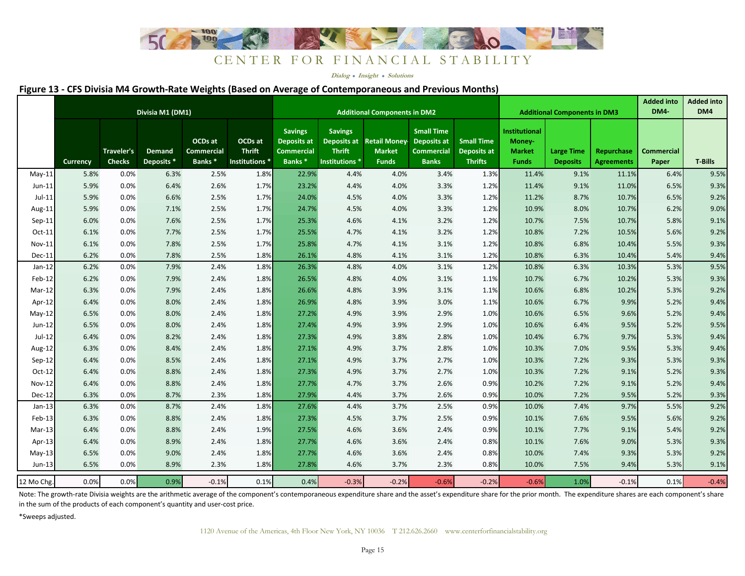

**Dialog Insight Solutions**

#### **Figure 13 - CFS Divisia M4 Growth-Rate Weights (Based on Average of Contemporaneous and Previous Months)**

|               |          |                             | Divisia M1 (DM1)                       |                                                    |                                                       | <b>Additional Components in DM2</b>                                             |                                                          |                                                            |                                                                       |                                                           |                                                          | <b>Additional Components in DM3</b>  |                                 | <b>Added into</b><br>DM4-  | <b>Added into</b><br>DM4 |
|---------------|----------|-----------------------------|----------------------------------------|----------------------------------------------------|-------------------------------------------------------|---------------------------------------------------------------------------------|----------------------------------------------------------|------------------------------------------------------------|-----------------------------------------------------------------------|-----------------------------------------------------------|----------------------------------------------------------|--------------------------------------|---------------------------------|----------------------------|--------------------------|
|               | Currency | Traveler's<br><b>Checks</b> | <b>Demand</b><br>Deposits <sup>*</sup> | OCDs at<br><b>Commercial</b><br>Banks <sup>*</sup> | OCDs at<br><b>Thrift</b><br>Institutions <sup>*</sup> | <b>Savings</b><br><b>Deposits at</b><br><b>Commercial</b><br>Banks <sup>*</sup> | <b>Savings</b><br><b>Thrift</b><br><b>Institutions *</b> | Deposits at Retail Money-<br><b>Market</b><br><b>Funds</b> | <b>Small Time</b><br>Deposits at<br><b>Commercial</b><br><b>Banks</b> | <b>Small Time</b><br><b>Deposits at</b><br><b>Thrifts</b> | Institutional<br>Money-<br><b>Market</b><br><b>Funds</b> | <b>Large Time</b><br><b>Deposits</b> | Repurchase<br><b>Agreements</b> | <b>Commercial</b><br>Paper | <b>T-Bills</b>           |
| $May-11$      | 5.8%     | 0.0%                        | 6.3%                                   | 2.5%                                               | 1.8%                                                  | 22.9%                                                                           | 4.4%                                                     | 4.0%                                                       | 3.4%                                                                  | 1.3%                                                      | 11.4%                                                    | 9.1%                                 | 11.1%                           | 6.4%                       | 9.5%                     |
| $Jun-11$      | 5.9%     | 0.0%                        | 6.4%                                   | 2.6%                                               | 1.7%                                                  | 23.2%                                                                           | 4.4%                                                     | 4.0%                                                       | 3.3%                                                                  | 1.2%                                                      | 11.4%                                                    | 9.1%                                 | 11.0%                           | 6.5%                       | 9.3%                     |
| $Jul-11$      | 5.9%     | 0.0%                        | 6.6%                                   | 2.5%                                               | 1.7%                                                  | 24.0%                                                                           | 4.5%                                                     | 4.0%                                                       | 3.3%                                                                  | 1.2%                                                      | 11.2%                                                    | 8.7%                                 | 10.7%                           | 6.5%                       | 9.2%                     |
| Aug-11        | 5.9%     | 0.0%                        | 7.1%                                   | 2.5%                                               | 1.7%                                                  | 24.7%                                                                           | 4.5%                                                     | 4.0%                                                       | 3.3%                                                                  | 1.2%                                                      | 10.9%                                                    | 8.0%                                 | 10.7%                           | 6.2%                       | 9.0%                     |
| $Sep-11$      | 6.0%     | 0.0%                        | 7.6%                                   | 2.5%                                               | 1.7%                                                  | 25.3%                                                                           | 4.6%                                                     | 4.1%                                                       | 3.2%                                                                  | 1.2%                                                      | 10.7%                                                    | 7.5%                                 | 10.7%                           | 5.8%                       | 9.1%                     |
| $Oct-11$      | 6.1%     | 0.0%                        | 7.7%                                   | 2.5%                                               | 1.7%                                                  | 25.5%                                                                           | 4.7%                                                     | 4.1%                                                       | 3.2%                                                                  | 1.2%                                                      | 10.8%                                                    | 7.2%                                 | 10.5%                           | 5.6%                       | 9.2%                     |
| Nov-11        | 6.1%     | 0.0%                        | 7.8%                                   | 2.5%                                               | 1.7%                                                  | 25.8%                                                                           | 4.7%                                                     | 4.1%                                                       | 3.1%                                                                  | 1.2%                                                      | 10.8%                                                    | 6.8%                                 | 10.4%                           | 5.5%                       | 9.3%                     |
| Dec-11        | 6.2%     | 0.0%                        | 7.8%                                   | 2.5%                                               | 1.8%                                                  | 26.1%                                                                           | 4.8%                                                     | 4.1%                                                       | 3.1%                                                                  | 1.2%                                                      | 10.8%                                                    | 6.3%                                 | 10.4%                           | 5.4%                       | 9.4%                     |
| $Jan-12$      | 6.2%     | 0.0%                        | 7.9%                                   | 2.4%                                               | 1.8%                                                  | 26.3%                                                                           | 4.8%                                                     | 4.0%                                                       | 3.1%                                                                  | 1.2%                                                      | 10.8%                                                    | 6.3%                                 | 10.3%                           | 5.3%                       | 9.5%                     |
| Feb-12        | 6.2%     | 0.0%                        | 7.9%                                   | 2.4%                                               | 1.8%                                                  | 26.5%                                                                           | 4.8%                                                     | 4.0%                                                       | 3.1%                                                                  | 1.1%                                                      | 10.7%                                                    | 6.7%                                 | 10.2%                           | 5.3%                       | 9.3%                     |
| Mar-12        | 6.3%     | 0.0%                        | 7.9%                                   | 2.4%                                               | 1.8%                                                  | 26.6%                                                                           | 4.8%                                                     | 3.9%                                                       | 3.1%                                                                  | 1.1%                                                      | 10.6%                                                    | 6.8%                                 | 10.2%                           | 5.3%                       | 9.2%                     |
| Apr-12        | 6.4%     | 0.0%                        | 8.0%                                   | 2.4%                                               | 1.8%                                                  | 26.9%                                                                           | 4.8%                                                     | 3.9%                                                       | 3.0%                                                                  | 1.1%                                                      | 10.6%                                                    | 6.7%                                 | 9.9%                            | 5.2%                       | 9.4%                     |
| $May-12$      | 6.5%     | 0.0%                        | 8.0%                                   | 2.4%                                               | 1.8%                                                  | 27.2%                                                                           | 4.9%                                                     | 3.9%                                                       | 2.9%                                                                  | 1.0%                                                      | 10.6%                                                    | 6.5%                                 | 9.6%                            | 5.2%                       | 9.4%                     |
| Jun-12        | 6.5%     | 0.0%                        | 8.0%                                   | 2.4%                                               | 1.8%                                                  | 27.4%                                                                           | 4.9%                                                     | 3.9%                                                       | 2.9%                                                                  | 1.0%                                                      | 10.6%                                                    | 6.4%                                 | 9.5%                            | 5.2%                       | 9.5%                     |
| Jul-12        | 6.4%     | 0.0%                        | 8.2%                                   | 2.4%                                               | 1.8%                                                  | 27.3%                                                                           | 4.9%                                                     | 3.8%                                                       | 2.8%                                                                  | 1.0%                                                      | 10.4%                                                    | 6.7%                                 | 9.7%                            | 5.3%                       | 9.4%                     |
| Aug-12        | 6.3%     | 0.0%                        | 8.4%                                   | 2.4%                                               | 1.8%                                                  | 27.1%                                                                           | 4.9%                                                     | 3.7%                                                       | 2.8%                                                                  | 1.0%                                                      | 10.3%                                                    | 7.0%                                 | 9.5%                            | 5.3%                       | 9.4%                     |
| Sep-12        | 6.4%     | 0.0%                        | 8.5%                                   | 2.4%                                               | 1.8%                                                  | 27.1%                                                                           | 4.9%                                                     | 3.7%                                                       | 2.7%                                                                  | 1.0%                                                      | 10.3%                                                    | 7.2%                                 | 9.3%                            | 5.3%                       | 9.3%                     |
| $Oct-12$      | 6.4%     | 0.0%                        | 8.8%                                   | 2.4%                                               | 1.8%                                                  | 27.3%                                                                           | 4.9%                                                     | 3.7%                                                       | 2.7%                                                                  | 1.0%                                                      | 10.3%                                                    | 7.2%                                 | 9.1%                            | 5.2%                       | 9.3%                     |
| <b>Nov-12</b> | 6.4%     | 0.0%                        | 8.8%                                   | 2.4%                                               | 1.8%                                                  | 27.7%                                                                           | 4.7%                                                     | 3.7%                                                       | 2.6%                                                                  | 0.9%                                                      | 10.2%                                                    | 7.2%                                 | 9.1%                            | 5.2%                       | 9.4%                     |
| Dec-12        | 6.3%     | 0.0%                        | 8.7%                                   | 2.3%                                               | 1.8%                                                  | 27.9%                                                                           | 4.4%                                                     | 3.7%                                                       | 2.6%                                                                  | 0.9%                                                      | 10.0%                                                    | 7.2%                                 | 9.5%                            | 5.2%                       | 9.3%                     |
| $Jan-13$      | 6.3%     | 0.0%                        | 8.7%                                   | 2.4%                                               | 1.8%                                                  | 27.6%                                                                           | 4.4%                                                     | 3.7%                                                       | 2.5%                                                                  | 0.9%                                                      | 10.0%                                                    | 7.4%                                 | 9.7%                            | 5.5%                       | 9.2%                     |
| $Feb-13$      | 6.3%     | 0.0%                        | 8.8%                                   | 2.4%                                               | 1.8%                                                  | 27.3%                                                                           | 4.5%                                                     | 3.7%                                                       | 2.5%                                                                  | 0.9%                                                      | 10.1%                                                    | 7.6%                                 | 9.5%                            | 5.6%                       | 9.2%                     |
| $Mar-13$      | 6.4%     | 0.0%                        | 8.8%                                   | 2.4%                                               | 1.9%                                                  | 27.5%                                                                           | 4.6%                                                     | 3.6%                                                       | 2.4%                                                                  | 0.9%                                                      | 10.1%                                                    | 7.7%                                 | 9.1%                            | 5.4%                       | 9.2%                     |
| Apr-13        | 6.4%     | 0.0%                        | 8.9%                                   | 2.4%                                               | 1.8%                                                  | 27.7%                                                                           | 4.6%                                                     | 3.6%                                                       | 2.4%                                                                  | 0.8%                                                      | 10.1%                                                    | 7.6%                                 | 9.0%                            | 5.3%                       | 9.3%                     |
| $May-13$      | 6.5%     | 0.0%                        | 9.0%                                   | 2.4%                                               | 1.8%                                                  | 27.7%                                                                           | 4.6%                                                     | 3.6%                                                       | 2.4%                                                                  | 0.8%                                                      | 10.0%                                                    | 7.4%                                 | 9.3%                            | 5.3%                       | 9.2%                     |
| Jun-13        | 6.5%     | 0.0%                        | 8.9%                                   | 2.3%                                               | 1.8%                                                  | 27.8%                                                                           | 4.6%                                                     | 3.7%                                                       | 2.3%                                                                  | 0.8%                                                      | 10.0%                                                    | 7.5%                                 | 9.4%                            | 5.3%                       | 9.1%                     |
| 12 Mo Chg.    | 0.0%     | 0.0%                        | 0.9%                                   | $-0.1%$                                            | 0.1%                                                  | 0.4%                                                                            | $-0.3%$                                                  | $-0.2%$                                                    | $-0.6%$                                                               | $-0.2%$                                                   | $-0.6%$                                                  | 1.0%                                 | $-0.1%$                         | 0.1%                       | $-0.4%$                  |

Note: The growth-rate Divisia weights are the arithmetic average of the component's contemporaneous expenditure share and the asset's expenditure share share for the prior month. The expenditure shares are each component's in the sum of the products of each component's quantity and user-cost price.

\*Sweeps adjusted.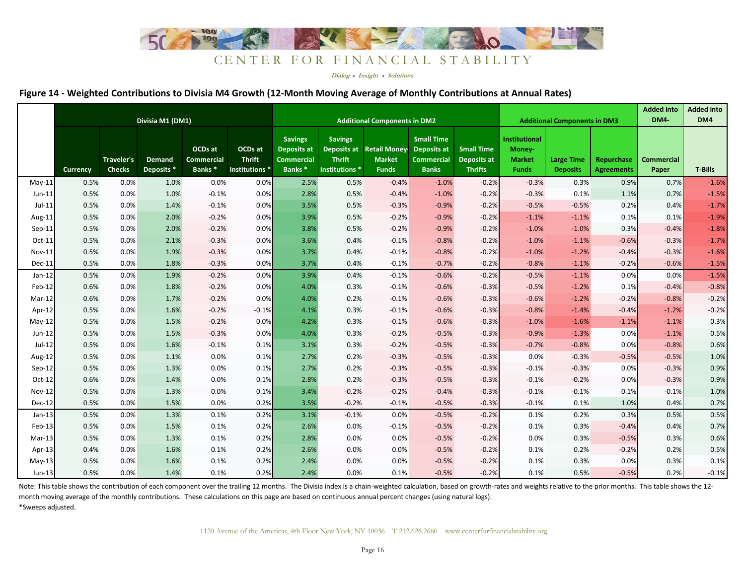

**Dialog Insight Solutions**

#### **Figure 14 - Weighted Contributions to Divisia M4 Growth (12-Month Moving Average of Monthly Contributions at Annual Rates)**

|          | Divisia M1 (DM1) |                                    |                                 |                                                    | <b>Additional Components in DM2</b>                   |                                                                          |                                                                             |                                                       |                                                                              |                                                           | <b>Additional Components in DM3</b>                             |                                      | <b>Added into</b><br>DM4        | <b>Added into</b><br>DM4   |                |
|----------|------------------|------------------------------------|---------------------------------|----------------------------------------------------|-------------------------------------------------------|--------------------------------------------------------------------------|-----------------------------------------------------------------------------|-------------------------------------------------------|------------------------------------------------------------------------------|-----------------------------------------------------------|-----------------------------------------------------------------|--------------------------------------|---------------------------------|----------------------------|----------------|
|          | Currency         | <b>Traveler's</b><br><b>Checks</b> | Demand<br>Deposits <sup>*</sup> | OCDs at<br><b>Commercial</b><br>Banks <sup>*</sup> | OCDs at<br><b>Thrift</b><br>Institutions <sup>*</sup> | <b>Savings</b><br><b>Deposits at</b><br>Commercial<br>Banks <sup>*</sup> | <b>Savings</b><br>Deposits at<br><b>Thrift</b><br>Institutions <sup>*</sup> | <b>Retail Money-</b><br><b>Market</b><br><b>Funds</b> | <b>Small Time</b><br><b>Deposits at</b><br><b>Commercial</b><br><b>Banks</b> | <b>Small Time</b><br><b>Deposits at</b><br><b>Thrifts</b> | <b>Institutional</b><br>Money-<br><b>Market</b><br><b>Funds</b> | <b>Large Time</b><br><b>Deposits</b> | Repurchase<br><b>Agreements</b> | <b>Commercial</b><br>Paper | <b>T-Bills</b> |
| $May-11$ | 0.5%             | 0.0%                               | 1.0%                            | 0.0%                                               | 0.0%                                                  | 2.5%                                                                     | 0.5%                                                                        | $-0.4%$                                               | $-1.0%$                                                                      | $-0.2%$                                                   | $-0.3%$                                                         | 0.3%                                 | 0.9%                            | 0.7%                       | $-1.6%$        |
| $Jun-11$ | 0.5%             | 0.0%                               | 1.0%                            | $-0.1%$                                            | 0.0%                                                  | 2.8%                                                                     | 0.5%                                                                        | $-0.4%$                                               | $-1.0%$                                                                      | $-0.2%$                                                   | $-0.3%$                                                         | 0.1%                                 | 1.1%                            | 0.7%                       | $-1.5%$        |
| $Jul-11$ | 0.5%             | 0.0%                               | 1.4%                            | $-0.1%$                                            | 0.0%                                                  | 3.5%                                                                     | 0.5%                                                                        | $-0.3%$                                               | $-0.9%$                                                                      | $-0.2%$                                                   | $-0.5%$                                                         | $-0.5%$                              | 0.2%                            | 0.4%                       | $-1.7%$        |
| Aug-11   | 0.5%             | 0.0%                               | 2.0%                            | $-0.2%$                                            | 0.0%                                                  | 3.9%                                                                     | 0.5%                                                                        | $-0.2%$                                               | $-0.9%$                                                                      | $-0.2%$                                                   | $-1.1%$                                                         | $-1.1%$                              | 0.1%                            | 0.1%                       | $-1.9%$        |
| $Sep-11$ | 0.5%             | 0.0%                               | 2.0%                            | $-0.2%$                                            | 0.0%                                                  | 3.8%                                                                     | 0.5%                                                                        | $-0.2%$                                               | $-0.9%$                                                                      | $-0.2%$                                                   | $-1.0%$                                                         | $-1.0%$                              | 0.3%                            | $-0.4%$                    | $-1.8%$        |
| $Oct-11$ | 0.5%             | 0.0%                               | 2.1%                            | $-0.3%$                                            | 0.0%                                                  | 3.6%                                                                     | 0.4%                                                                        | $-0.1%$                                               | $-0.8%$                                                                      | $-0.2%$                                                   | $-1.0%$                                                         | $-1.1%$                              | $-0.6%$                         | $-0.3%$                    | $-1.7%$        |
| Nov-11   | 0.5%             | 0.0%                               | 1.9%                            | $-0.3%$                                            | 0.0%                                                  | 3.7%                                                                     | 0.4%                                                                        | $-0.1%$                                               | $-0.8%$                                                                      | $-0.2%$                                                   | $-1.0%$                                                         | $-1.2%$                              | $-0.4%$                         | $-0.3%$                    | $-1.6%$        |
| Dec-11   | 0.5%             | 0.0%                               | 1.8%                            | $-0.3%$                                            | 0.0%                                                  | 3.7%                                                                     | 0.4%                                                                        | $-0.1%$                                               | $-0.7%$                                                                      | $-0.2%$                                                   | $-0.8%$                                                         | $-1.1%$                              | $-0.2%$                         | $-0.6%$                    | $-1.5%$        |
| $Jan-12$ | 0.5%             | 0.0%                               | 1.9%                            | $-0.2%$                                            | 0.0%                                                  | 3.9%                                                                     | 0.4%                                                                        | $-0.1%$                                               | $-0.6%$                                                                      | $-0.2%$                                                   | $-0.5%$                                                         | $-1.1%$                              | 0.0%                            | 0.0%                       | $-1.5%$        |
| Feb-12   | 0.6%             | 0.0%                               | 1.8%                            | $-0.2%$                                            | 0.0%                                                  | 4.0%                                                                     | 0.3%                                                                        | $-0.1%$                                               | $-0.6%$                                                                      | $-0.3%$                                                   | $-0.5%$                                                         | $-1.2%$                              | 0.1%                            | $-0.4%$                    | $-0.8%$        |
| Mar-12   | 0.6%             | 0.0%                               | 1.7%                            | $-0.2%$                                            | 0.0%                                                  | 4.0%                                                                     | 0.2%                                                                        | $-0.1%$                                               | $-0.6%$                                                                      | $-0.3%$                                                   | $-0.6%$                                                         | $-1.2%$                              | $-0.2%$                         | $-0.8%$                    | $-0.2%$        |
| Apr-12   | 0.5%             | 0.0%                               | 1.6%                            | $-0.2%$                                            | $-0.1%$                                               | 4.1%                                                                     | 0.3%                                                                        | $-0.1%$                                               | $-0.6%$                                                                      | $-0.3%$                                                   | $-0.8%$                                                         | $-1.4%$                              | $-0.4%$                         | $-1.2%$                    | $-0.2%$        |
| $May-12$ | 0.5%             | 0.0%                               | 1.5%                            | $-0.2%$                                            | 0.0%                                                  | 4.2%                                                                     | 0.3%                                                                        | $-0.1%$                                               | $-0.6%$                                                                      | $-0.3%$                                                   | $-1.0%$                                                         | $-1.6%$                              | $-1.1%$                         | $-1.1%$                    | 0.3%           |
| Jun-12   | 0.5%             | 0.0%                               | 1.5%                            | $-0.3%$                                            | 0.0%                                                  | 4.0%                                                                     | 0.3%                                                                        | $-0.2%$                                               | $-0.5%$                                                                      | $-0.3%$                                                   | $-0.9%$                                                         | $-1.3%$                              | 0.0%                            | $-1.1%$                    | 0.5%           |
| Jul-12   | 0.5%             | 0.0%                               | 1.6%                            | $-0.1%$                                            | 0.1%                                                  | 3.1%                                                                     | 0.3%                                                                        | $-0.2%$                                               | $-0.5%$                                                                      | $-0.3%$                                                   | $-0.7%$                                                         | $-0.8%$                              | 0.0%                            | $-0.8%$                    | 0.6%           |
| Aug-12   | 0.5%             | 0.0%                               | 1.1%                            | 0.0%                                               | 0.1%                                                  | 2.7%                                                                     | 0.2%                                                                        | $-0.3%$                                               | $-0.5%$                                                                      | $-0.3%$                                                   | 0.0%                                                            | $-0.3%$                              | $-0.5%$                         | $-0.5%$                    | 1.0%           |
| $Sep-12$ | 0.5%             | 0.0%                               | 1.3%                            | 0.0%                                               | 0.1%                                                  | 2.7%                                                                     | 0.2%                                                                        | $-0.3%$                                               | $-0.5%$                                                                      | $-0.3%$                                                   | $-0.1%$                                                         | $-0.3%$                              | 0.0%                            | $-0.3%$                    | 0.9%           |
| $Oct-12$ | 0.6%             | 0.0%                               | 1.4%                            | 0.0%                                               | 0.1%                                                  | 2.8%                                                                     | 0.2%                                                                        | $-0.3%$                                               | $-0.5%$                                                                      | $-0.3%$                                                   | $-0.1%$                                                         | $-0.2%$                              | 0.0%                            | $-0.3%$                    | 0.9%           |
| Nov-12   | 0.5%             | 0.0%                               | 1.3%                            | 0.0%                                               | 0.1%                                                  | 3.4%                                                                     | $-0.2%$                                                                     | $-0.2%$                                               | $-0.4%$                                                                      | $-0.3%$                                                   | $-0.1%$                                                         | $-0.1%$                              | 0.1%                            | $-0.1%$                    | 1.0%           |
| Dec-12   | 0.5%             | 0.0%                               | 1.5%                            | 0.0%                                               | 0.2%                                                  | 3.5%                                                                     | $-0.2%$                                                                     | $-0.1%$                                               | $-0.5%$                                                                      | $-0.3%$                                                   | $-0.1%$                                                         | 0.1%                                 | 1.0%                            | 0.4%                       | 0.7%           |
| $Jan-13$ | 0.5%             | 0.0%                               | 1.3%                            | 0.1%                                               | 0.2%                                                  | 3.1%                                                                     | $-0.1%$                                                                     | 0.0%                                                  | $-0.5%$                                                                      | $-0.2%$                                                   | 0.1%                                                            | 0.2%                                 | 0.3%                            | 0.5%                       | 0.5%           |
| Feb-13   | 0.5%             | 0.0%                               | 1.5%                            | 0.1%                                               | 0.2%                                                  | 2.6%                                                                     | 0.0%                                                                        | $-0.1%$                                               | $-0.5%$                                                                      | $-0.2%$                                                   | 0.1%                                                            | 0.3%                                 | $-0.4%$                         | 0.4%                       | 0.7%           |
| $Mar-13$ | 0.5%             | 0.0%                               | 1.3%                            | 0.1%                                               | 0.2%                                                  | 2.8%                                                                     | 0.0%                                                                        | 0.0%                                                  | $-0.5%$                                                                      | $-0.2%$                                                   | 0.0%                                                            | 0.3%                                 | $-0.5%$                         | 0.3%                       | 0.6%           |
| Apr-13   | 0.4%             | 0.0%                               | 1.6%                            | 0.1%                                               | 0.2%                                                  | 2.6%                                                                     | 0.0%                                                                        | 0.0%                                                  | $-0.5%$                                                                      | $-0.2%$                                                   | 0.1%                                                            | 0.2%                                 | $-0.2%$                         | 0.2%                       | 0.5%           |
| $May-13$ | 0.5%             | 0.0%                               | 1.6%                            | 0.1%                                               | 0.2%                                                  | 2.4%                                                                     | 0.0%                                                                        | 0.0%                                                  | $-0.5%$                                                                      | $-0.2%$                                                   | 0.1%                                                            | 0.3%                                 | 0.0%                            | 0.3%                       | 0.1%           |
| Jun-13   | 0.5%             | 0.0%                               | 1.4%                            | 0.1%                                               | 0.2%                                                  | 2.4%                                                                     | 0.0%                                                                        | 0.1%                                                  | $-0.5%$                                                                      | $-0.2%$                                                   | 0.1%                                                            | 0.5%                                 | $-0.5%$                         | 0.2%                       | $-0.1%$        |

\*Sweeps adjusted.Note: This table shows the contribution of each component over the trailing 12 months. The Divisia index is a chain-weighted calculation, based on growth-rates and weights relative to the prior months. This table shows the month moving average of the monthly contributions. These calculations on this page are based on continuous annual percent changes (using natural logs).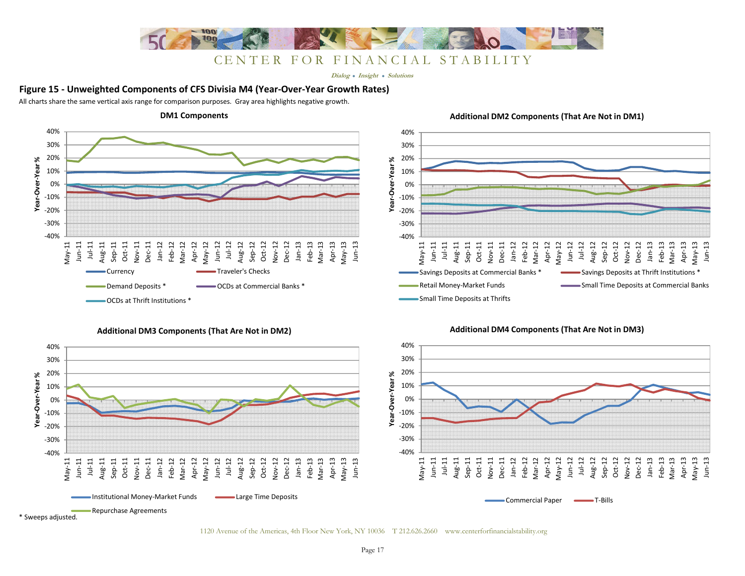

**Dialog Insight Solutions**

#### **Figure 15 - Unweighted Components of CFS Divisia M4 (Year-Over-Year Growth Rates)**

All charts share the same vertical axis range for comparison purposes. Gray area highlights negative growth.



#### **Additional DM3 Components (That Are Not in DM2)**



#### **Additional DM2 Components (That Are Not in DM1)**





1120 Avenue of the Americas, 4th Floor New York, NY 10036 T 212.626.2660 www.centerforfinancialstability.org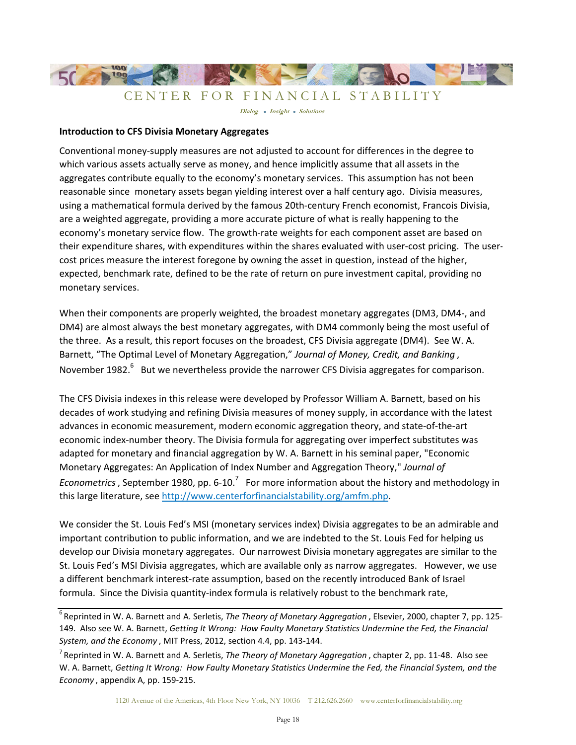

#### **Introduction to CFS Divisia Monetary Aggregates**

Conventional money-supply measures are not adjusted to account for differences in the degree to which various assets actually serve as money, and hence implicitly assume that all assets in the aggregates contribute equally to the economy's monetary services. This assumption has not been reasonable since monetary assets began yielding interest over a half century ago. Divisia measures, using a mathematical formula derived by the famous 20th-century French economist, Francois Divisia, are a weighted aggregate, providing a more accurate picture of what is really happening to the economy's monetary service flow. The growth-rate weights for each component asset are based on their expenditure shares, with expenditures within the shares evaluated with user-cost pricing. The usercost prices measure the interest foregone by owning the asset in question, instead of the higher, expected, benchmark rate, defined to be the rate of return on pure investment capital, providing no monetary services.

When their components are properly weighted, the broadest monetary aggregates (DM3, DM4-, and DM4) are almost always the best monetary aggregates, with DM4 commonly being the most useful of the three. As a result, this report focuses on the broadest, CFS Divisia aggregate (DM4). See W. A. Barnett, "The Optimal Level of Monetary Aggregation," *Journal of Money, Credit, and Banking* , November 1982.<sup>6</sup> But we nevertheless provide the narrower CFS Divisia aggregates for comparison.

The CFS Divisia indexes in this release were developed by Professor William A. Barnett, based on his decades of work studying and refining Divisia measures of money supply, in accordance with the latest advances in economic measurement, modern economic aggregation theory, and state-of-the-art economic index-number theory. The Divisia formula for aggregating over imperfect substitutes was adapted for monetary and financial aggregation by W. A. Barnett in his seminal paper, "Economic Monetary Aggregates: An Application of Index Number and Aggregation Theory," *Journal of*  Econometrics, September 1980, pp. 6-10.<sup>7</sup> For more information about the history and methodology in this large literature, see http://www.centerforfinancialstability.org/amfm.php.

We consider the St. Louis Fed's MSI (monetary services index) Divisia aggregates to be an admirable and important contribution to public information, and we are indebted to the St. Louis Fed for helping us develop our Divisia monetary aggregates. Our narrowest Divisia monetary aggregates are similar to the St. Louis Fed's MSI Divisia aggregates, which are available only as narrow aggregates. However, we use a different benchmark interest-rate assumption, based on the recently introduced Bank of Israel formula. Since the Divisia quantity-index formula is relatively robust to the benchmark rate,

<sup>&</sup>lt;sup>6</sup> Reprinted in W. A. Barnett and A. Serletis, *The Theory of Monetary Aggregation*, Elsevier, 2000, chapter 7, pp. 125-149. Also see W. A. Barnett, *Getting It Wrong: How Faulty Monetary Statistics Undermine the Fed, the Financial System, and the Economy* , MIT Press, 2012, section 4.4, pp. 143-144.

<sup>&</sup>lt;sup>7</sup> Reprinted in W. A. Barnett and A. Serletis, *The Theory of Monetary Aggregation*, chapter 2, pp. 11-48. Also see W. A. Barnett, *Getting It Wrong: How Faulty Monetary Statistics Undermine the Fed, the Financial System, and the Economy* , appendix A, pp. 159-215.